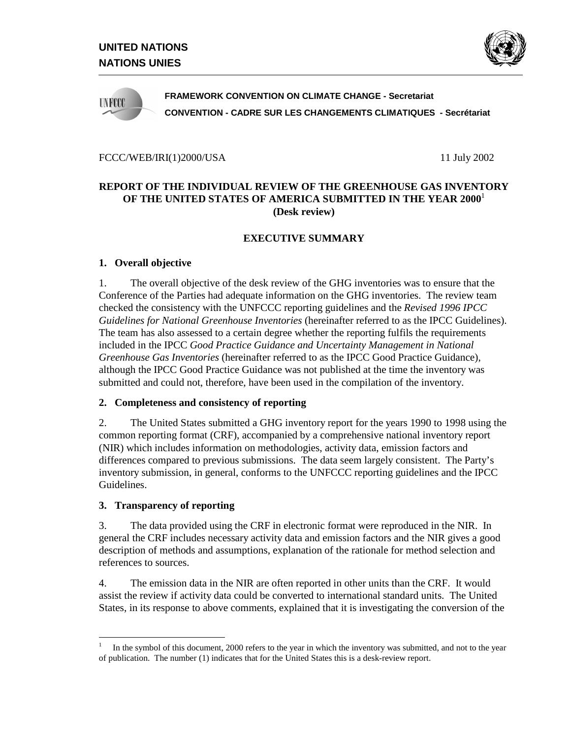



**FRAMEWORK CONVENTION ON CLIMATE CHANGE - Secretariat CONVENTION - CADRE SUR LES CHANGEMENTS CLIMATIQUES - Secrétariat**

#### FCCC/WEB/IRI(1)2000/USA 11 July 2002

## **REPORT OF THE INDIVIDUAL REVIEW OF THE GREENHOUSE GAS INVENTORY OF THE UNITED STATES OF AMERICA SUBMITTED IN THE YEAR 2000**<sup>1</sup> **(Desk review)**

## **EXECUTIVE SUMMARY**

#### **1. Overall objective**

1. The overall objective of the desk review of the GHG inventories was to ensure that the Conference of the Parties had adequate information on the GHG inventories. The review team checked the consistency with the UNFCCC reporting guidelines and the *Revised 1996 IPCC Guidelines for National Greenhouse Inventories* (hereinafter referred to as the IPCC Guidelines). The team has also assessed to a certain degree whether the reporting fulfils the requirements included in the IPCC *Good Practice Guidance and Uncertainty Management in National Greenhouse Gas Inventories* (hereinafter referred to as the IPCC Good Practice Guidance), although the IPCC Good Practice Guidance was not published at the time the inventory was submitted and could not, therefore, have been used in the compilation of the inventory.

#### **2. Completeness and consistency of reporting**

2. The United States submitted a GHG inventory report for the years 1990 to 1998 using the common reporting format (CRF), accompanied by a comprehensive national inventory report (NIR) which includes information on methodologies, activity data, emission factors and differences compared to previous submissions. The data seem largely consistent. The Party's inventory submission, in general, conforms to the UNFCCC reporting guidelines and the IPCC Guidelines.

#### **3. Transparency of reporting**

-

3. The data provided using the CRF in electronic format were reproduced in the NIR. In general the CRF includes necessary activity data and emission factors and the NIR gives a good description of methods and assumptions, explanation of the rationale for method selection and references to sources.

4. The emission data in the NIR are often reported in other units than the CRF. It would assist the review if activity data could be converted to international standard units. The United States, in its response to above comments, explained that it is investigating the conversion of the

<sup>1</sup> In the symbol of this document, 2000 refers to the year in which the inventory was submitted, and not to the year of publication. The number (1) indicates that for the United States this is a desk-review report.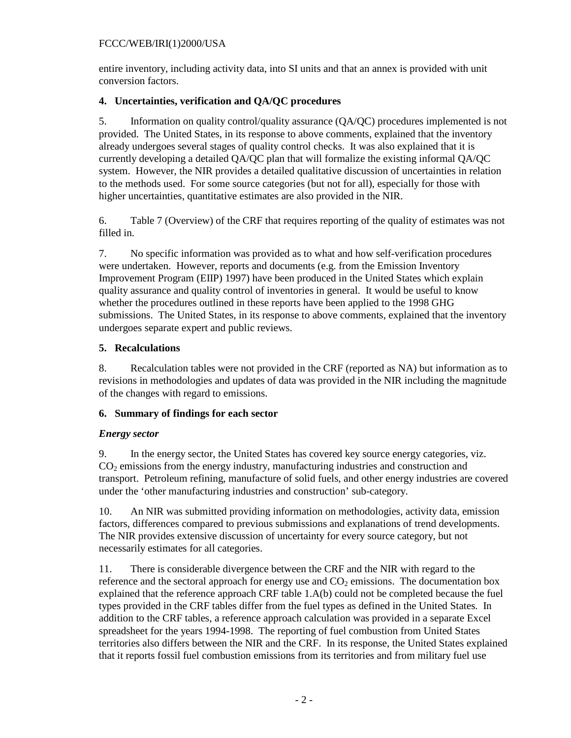entire inventory, including activity data, into SI units and that an annex is provided with unit conversion factors.

## **4. Uncertainties, verification and QA/QC procedures**

5. Information on quality control/quality assurance (QA/QC) procedures implemented is not provided. The United States, in its response to above comments, explained that the inventory already undergoes several stages of quality control checks. It was also explained that it is currently developing a detailed QA/QC plan that will formalize the existing informal QA/QC system. However, the NIR provides a detailed qualitative discussion of uncertainties in relation to the methods used. For some source categories (but not for all), especially for those with higher uncertainties, quantitative estimates are also provided in the NIR.

6. Table 7 (Overview) of the CRF that requires reporting of the quality of estimates was not filled in.

7. No specific information was provided as to what and how self-verification procedures were undertaken. However, reports and documents (e.g. from the Emission Inventory Improvement Program (EIIP) 1997) have been produced in the United States which explain quality assurance and quality control of inventories in general. It would be useful to know whether the procedures outlined in these reports have been applied to the 1998 GHG submissions. The United States, in its response to above comments, explained that the inventory undergoes separate expert and public reviews.

# **5. Recalculations**

8. Recalculation tables were not provided in the CRF (reported as NA) but information as to revisions in methodologies and updates of data was provided in the NIR including the magnitude of the changes with regard to emissions.

## **6. Summary of findings for each sector**

# *Energy sector*

9. In the energy sector, the United States has covered key source energy categories, viz. CO2 emissions from the energy industry, manufacturing industries and construction and transport. Petroleum refining, manufacture of solid fuels, and other energy industries are covered under the 'other manufacturing industries and construction' sub-category.

10. An NIR was submitted providing information on methodologies, activity data, emission factors, differences compared to previous submissions and explanations of trend developments. The NIR provides extensive discussion of uncertainty for every source category, but not necessarily estimates for all categories.

11. There is considerable divergence between the CRF and the NIR with regard to the reference and the sectoral approach for energy use and  $CO<sub>2</sub>$  emissions. The documentation box explained that the reference approach CRF table 1.A(b) could not be completed because the fuel types provided in the CRF tables differ from the fuel types as defined in the United States. In addition to the CRF tables, a reference approach calculation was provided in a separate Excel spreadsheet for the years 1994-1998. The reporting of fuel combustion from United States territories also differs between the NIR and the CRF. In its response, the United States explained that it reports fossil fuel combustion emissions from its territories and from military fuel use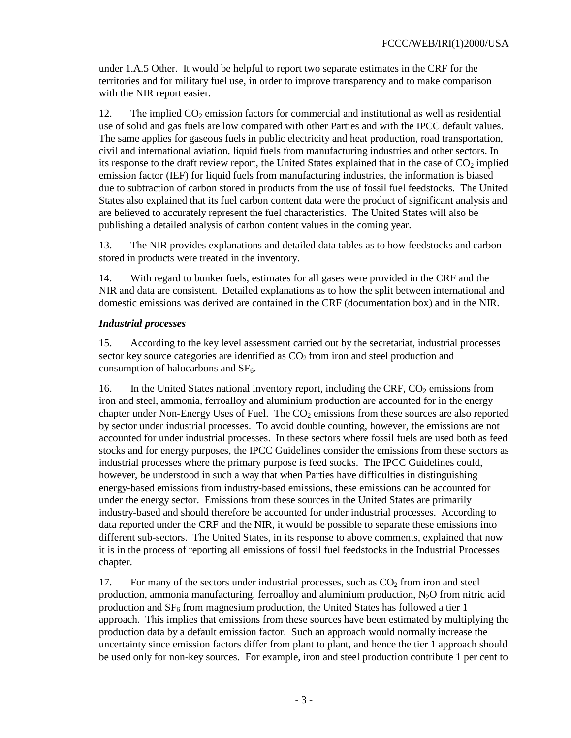under 1.A.5 Other. It would be helpful to report two separate estimates in the CRF for the territories and for military fuel use, in order to improve transparency and to make comparison with the NIR report easier.

12. The implied  $CO<sub>2</sub>$  emission factors for commercial and institutional as well as residential use of solid and gas fuels are low compared with other Parties and with the IPCC default values. The same applies for gaseous fuels in public electricity and heat production, road transportation, civil and international aviation, liquid fuels from manufacturing industries and other sectors. In its response to the draft review report, the United States explained that in the case of  $CO<sub>2</sub>$  implied emission factor (IEF) for liquid fuels from manufacturing industries, the information is biased due to subtraction of carbon stored in products from the use of fossil fuel feedstocks. The United States also explained that its fuel carbon content data were the product of significant analysis and are believed to accurately represent the fuel characteristics. The United States will also be publishing a detailed analysis of carbon content values in the coming year.

13. The NIR provides explanations and detailed data tables as to how feedstocks and carbon stored in products were treated in the inventory.

14. With regard to bunker fuels, estimates for all gases were provided in the CRF and the NIR and data are consistent. Detailed explanations as to how the split between international and domestic emissions was derived are contained in the CRF (documentation box) and in the NIR.

### *Industrial processes*

15. According to the key level assessment carried out by the secretariat, industrial processes sector key source categories are identified as  $CO<sub>2</sub>$  from iron and steel production and consumption of halocarbons and  $SF<sub>6</sub>$ .

16. In the United States national inventory report, including the CRF,  $CO<sub>2</sub>$  emissions from iron and steel, ammonia, ferroalloy and aluminium production are accounted for in the energy chapter under Non-Energy Uses of Fuel. The  $CO<sub>2</sub>$  emissions from these sources are also reported by sector under industrial processes. To avoid double counting, however, the emissions are not accounted for under industrial processes. In these sectors where fossil fuels are used both as feed stocks and for energy purposes, the IPCC Guidelines consider the emissions from these sectors as industrial processes where the primary purpose is feed stocks. The IPCC Guidelines could, however, be understood in such a way that when Parties have difficulties in distinguishing energy-based emissions from industry-based emissions, these emissions can be accounted for under the energy sector. Emissions from these sources in the United States are primarily industry-based and should therefore be accounted for under industrial processes. According to data reported under the CRF and the NIR, it would be possible to separate these emissions into different sub-sectors. The United States, in its response to above comments, explained that now it is in the process of reporting all emissions of fossil fuel feedstocks in the Industrial Processes chapter.

17. For many of the sectors under industrial processes, such as  $CO<sub>2</sub>$  from iron and steel production, ammonia manufacturing, ferroalloy and aluminium production,  $N_2O$  from nitric acid production and  $SF<sub>6</sub>$  from magnesium production, the United States has followed a tier 1 approach. This implies that emissions from these sources have been estimated by multiplying the production data by a default emission factor. Such an approach would normally increase the uncertainty since emission factors differ from plant to plant, and hence the tier 1 approach should be used only for non-key sources. For example, iron and steel production contribute 1 per cent to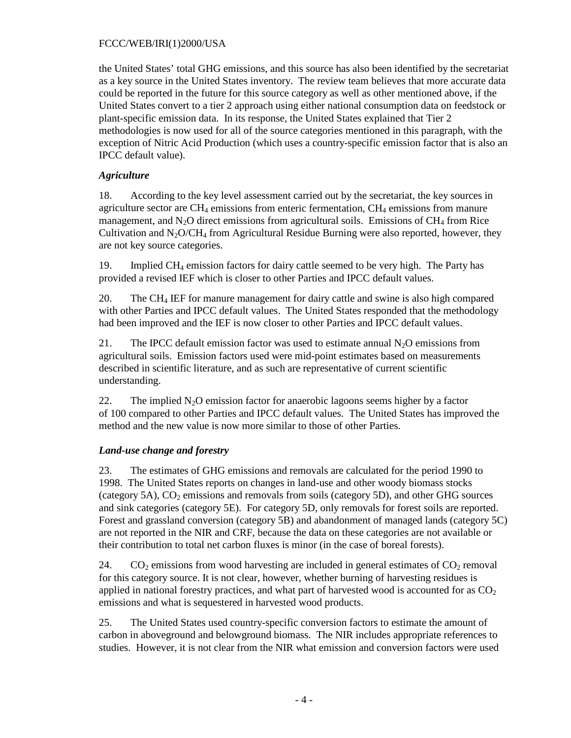the United States' total GHG emissions, and this source has also been identified by the secretariat as a key source in the United States inventory. The review team believes that more accurate data could be reported in the future for this source category as well as other mentioned above, if the United States convert to a tier 2 approach using either national consumption data on feedstock or plant-specific emission data. In its response, the United States explained that Tier 2 methodologies is now used for all of the source categories mentioned in this paragraph, with the exception of Nitric Acid Production (which uses a country-specific emission factor that is also an IPCC default value).

# *Agriculture*

18. According to the key level assessment carried out by the secretariat, the key sources in agriculture sector are  $CH_4$  emissions from enteric fermentation,  $CH_4$  emissions from manure management, and  $N_2O$  direct emissions from agricultural soils. Emissions of CH<sub>4</sub> from Rice Cultivation and  $N_2O/CH_4$  from Agricultural Residue Burning were also reported, however, they are not key source categories.

19. Implied  $CH_4$  emission factors for dairy cattle seemed to be very high. The Party has provided a revised IEF which is closer to other Parties and IPCC default values.

20. The CH4 IEF for manure management for dairy cattle and swine is also high compared with other Parties and IPCC default values. The United States responded that the methodology had been improved and the IEF is now closer to other Parties and IPCC default values.

21. The IPCC default emission factor was used to estimate annual  $N_2O$  emissions from agricultural soils. Emission factors used were mid-point estimates based on measurements described in scientific literature, and as such are representative of current scientific understanding.

22. The implied  $N_2O$  emission factor for anaerobic lagoons seems higher by a factor of 100 compared to other Parties and IPCC default values. The United States has improved the method and the new value is now more similar to those of other Parties.

## *Land-use change and forestry*

23. The estimates of GHG emissions and removals are calculated for the period 1990 to 1998. The United States reports on changes in land-use and other woody biomass stocks (category 5A),  $CO<sub>2</sub>$  emissions and removals from soils (category 5D), and other GHG sources and sink categories (category 5E). For category 5D, only removals for forest soils are reported. Forest and grassland conversion (category 5B) and abandonment of managed lands (category 5C) are not reported in the NIR and CRF, because the data on these categories are not available or their contribution to total net carbon fluxes is minor (in the case of boreal forests).

24. CO<sub>2</sub> emissions from wood harvesting are included in general estimates of  $CO<sub>2</sub>$  removal for this category source. It is not clear, however, whether burning of harvesting residues is applied in national forestry practices, and what part of harvested wood is accounted for as  $CO<sub>2</sub>$ emissions and what is sequestered in harvested wood products.

25. The United States used country-specific conversion factors to estimate the amount of carbon in aboveground and belowground biomass. The NIR includes appropriate references to studies. However, it is not clear from the NIR what emission and conversion factors were used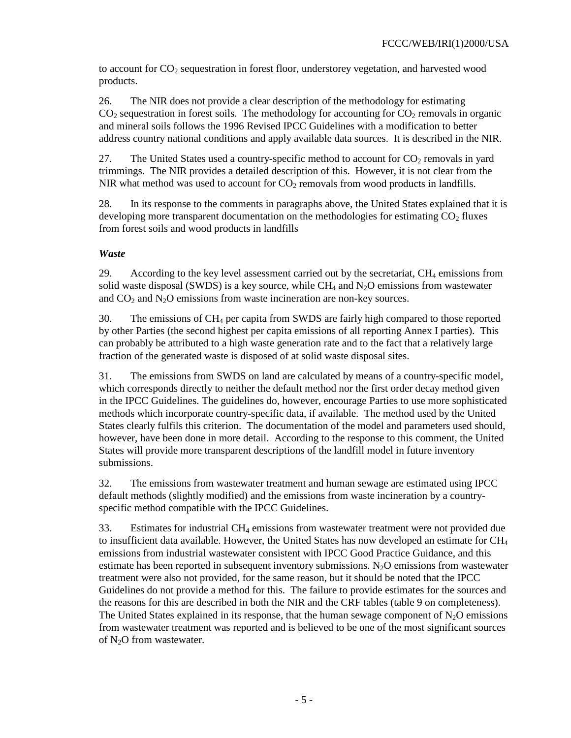to account for  $CO<sub>2</sub>$  sequestration in forest floor, understorey vegetation, and harvested wood products.

26. The NIR does not provide a clear description of the methodology for estimating  $CO<sub>2</sub>$  sequestration in forest soils. The methodology for accounting for  $CO<sub>2</sub>$  removals in organic and mineral soils follows the 1996 Revised IPCC Guidelines with a modification to better address country national conditions and apply available data sources. It is described in the NIR.

27. The United States used a country-specific method to account for  $CO_2$  removals in yard trimmings. The NIR provides a detailed description of this. However, it is not clear from the NIR what method was used to account for  $CO<sub>2</sub>$  removals from wood products in landfills.

28. In its response to the comments in paragraphs above, the United States explained that it is developing more transparent documentation on the methodologies for estimating  $CO<sub>2</sub>$  fluxes from forest soils and wood products in landfills

# *Waste*

29. According to the key level assessment carried out by the secretariat,  $CH_4$  emissions from solid waste disposal (SWDS) is a key source, while  $CH_4$  and  $N_2O$  emissions from wastewater and  $CO<sub>2</sub>$  and  $N<sub>2</sub>O$  emissions from waste incineration are non-key sources.

30. The emissions of CH4 per capita from SWDS are fairly high compared to those reported by other Parties (the second highest per capita emissions of all reporting Annex I parties). This can probably be attributed to a high waste generation rate and to the fact that a relatively large fraction of the generated waste is disposed of at solid waste disposal sites.

31. The emissions from SWDS on land are calculated by means of a country-specific model, which corresponds directly to neither the default method nor the first order decay method given in the IPCC Guidelines. The guidelines do, however, encourage Parties to use more sophisticated methods which incorporate country-specific data, if available. The method used by the United States clearly fulfils this criterion. The documentation of the model and parameters used should, however, have been done in more detail. According to the response to this comment, the United States will provide more transparent descriptions of the landfill model in future inventory submissions.

32. The emissions from wastewater treatment and human sewage are estimated using IPCC default methods (slightly modified) and the emissions from waste incineration by a countryspecific method compatible with the IPCC Guidelines.

33. Estimates for industrial CH4 emissions from wastewater treatment were not provided due to insufficient data available. However, the United States has now developed an estimate for  $CH<sub>4</sub>$ emissions from industrial wastewater consistent with IPCC Good Practice Guidance, and this estimate has been reported in subsequent inventory submissions. N<sub>2</sub>O emissions from wastewater treatment were also not provided, for the same reason, but it should be noted that the IPCC Guidelines do not provide a method for this. The failure to provide estimates for the sources and the reasons for this are described in both the NIR and the CRF tables (table 9 on completeness). The United States explained in its response, that the human sewage component of  $N_2O$  emissions from wastewater treatment was reported and is believed to be one of the most significant sources of  $N_2O$  from wastewater.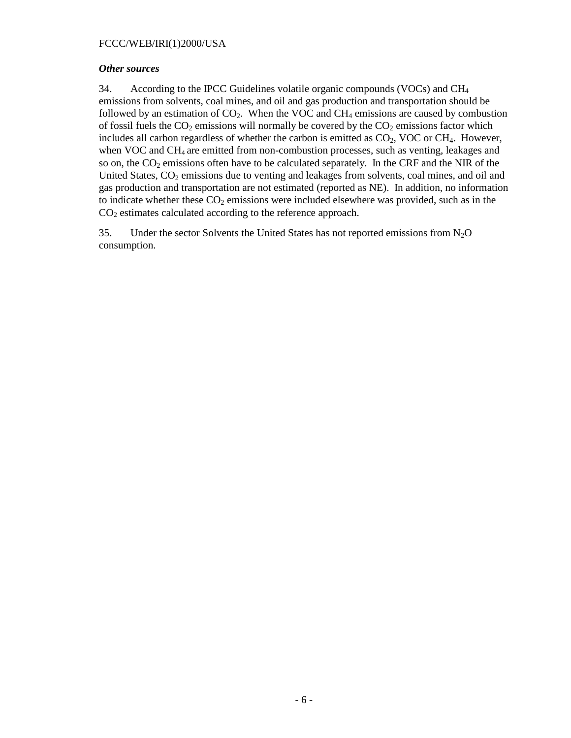#### *Other sources*

34. According to the IPCC Guidelines volatile organic compounds (VOCs) and  $CH<sub>4</sub>$ emissions from solvents, coal mines, and oil and gas production and transportation should be followed by an estimation of  $CO<sub>2</sub>$ . When the VOC and CH<sub>4</sub> emissions are caused by combustion of fossil fuels the  $CO_2$  emissions will normally be covered by the  $CO_2$  emissions factor which includes all carbon regardless of whether the carbon is emitted as  $CO<sub>2</sub>$ , VOC or CH<sub>4</sub>. However, when VOC and CH<sub>4</sub> are emitted from non-combustion processes, such as venting, leakages and so on, the  $CO<sub>2</sub>$  emissions often have to be calculated separately. In the CRF and the NIR of the United States,  $CO<sub>2</sub>$  emissions due to venting and leakages from solvents, coal mines, and oil and gas production and transportation are not estimated (reported as NE). In addition, no information to indicate whether these  $CO<sub>2</sub>$  emissions were included elsewhere was provided, such as in the  $CO<sub>2</sub>$  estimates calculated according to the reference approach.

35. Under the sector Solvents the United States has not reported emissions from  $N_2O$ consumption.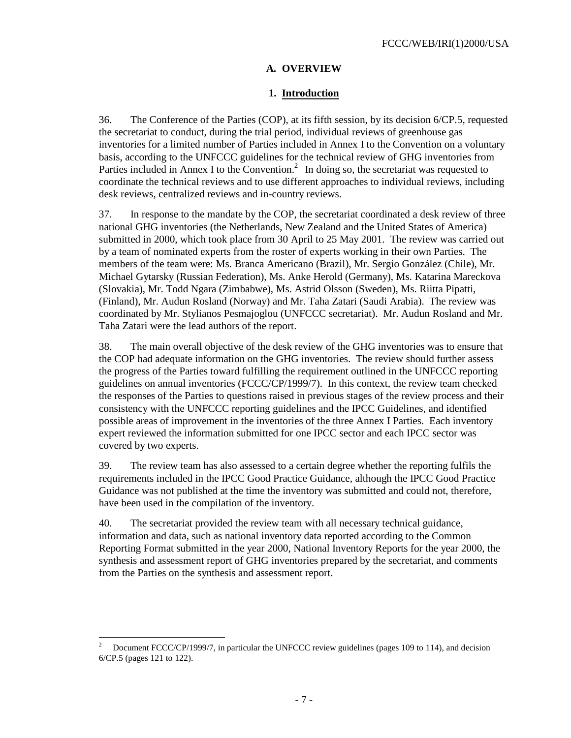## **A. OVERVIEW**

### **1. Introduction**

36. The Conference of the Parties (COP), at its fifth session, by its decision 6/CP.5, requested the secretariat to conduct, during the trial period, individual reviews of greenhouse gas inventories for a limited number of Parties included in Annex I to the Convention on a voluntary basis, according to the UNFCCC guidelines for the technical review of GHG inventories from Parties included in Annex I to the Convention.<sup>2</sup> In doing so, the secretariat was requested to coordinate the technical reviews and to use different approaches to individual reviews, including desk reviews, centralized reviews and in-country reviews.

37. In response to the mandate by the COP, the secretariat coordinated a desk review of three national GHG inventories (the Netherlands, New Zealand and the United States of America) submitted in 2000, which took place from 30 April to 25 May 2001. The review was carried out by a team of nominated experts from the roster of experts working in their own Parties. The members of the team were: Ms. Branca Americano (Brazil), Mr. Sergio González (Chile), Mr. Michael Gytarsky (Russian Federation), Ms. Anke Herold (Germany), Ms. Katarina Mareckova (Slovakia), Mr. Todd Ngara (Zimbabwe), Ms. Astrid Olsson (Sweden), Ms. Riitta Pipatti, (Finland), Mr. Audun Rosland (Norway) and Mr. Taha Zatari (Saudi Arabia). The review was coordinated by Mr. Stylianos Pesmajoglou (UNFCCC secretariat). Mr. Audun Rosland and Mr. Taha Zatari were the lead authors of the report.

38. The main overall objective of the desk review of the GHG inventories was to ensure that the COP had adequate information on the GHG inventories. The review should further assess the progress of the Parties toward fulfilling the requirement outlined in the UNFCCC reporting guidelines on annual inventories (FCCC/CP/1999/7). In this context, the review team checked the responses of the Parties to questions raised in previous stages of the review process and their consistency with the UNFCCC reporting guidelines and the IPCC Guidelines, and identified possible areas of improvement in the inventories of the three Annex I Parties. Each inventory expert reviewed the information submitted for one IPCC sector and each IPCC sector was covered by two experts.

39. The review team has also assessed to a certain degree whether the reporting fulfils the requirements included in the IPCC Good Practice Guidance, although the IPCC Good Practice Guidance was not published at the time the inventory was submitted and could not, therefore, have been used in the compilation of the inventory.

40. The secretariat provided the review team with all necessary technical guidance, information and data, such as national inventory data reported according to the Common Reporting Format submitted in the year 2000, National Inventory Reports for the year 2000, the synthesis and assessment report of GHG inventories prepared by the secretariat, and comments from the Parties on the synthesis and assessment report.

-

<sup>2</sup> Document FCCC/CP/1999/7, in particular the UNFCCC review guidelines (pages 109 to 114), and decision 6/CP.5 (pages 121 to 122).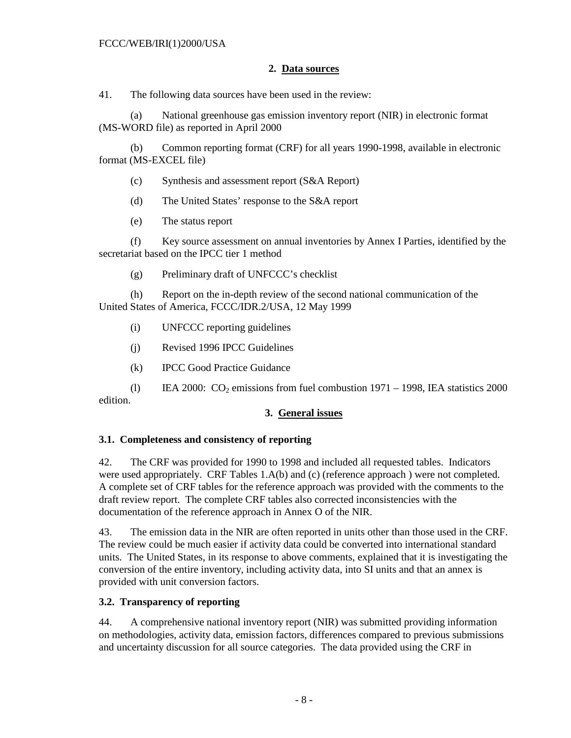## **2. Data sources**

41. The following data sources have been used in the review:

(a) National greenhouse gas emission inventory report (NIR) in electronic format (MS-WORD file) as reported in April 2000

(b) Common reporting format (CRF) for all years 1990-1998, available in electronic format (MS-EXCEL file)

- (c) Synthesis and assessment report (S&A Report)
- (d) The United States' response to the S&A report
- (e) The status report

(f) Key source assessment on annual inventories by Annex I Parties, identified by the secretariat based on the IPCC tier 1 method

(g) Preliminary draft of UNFCCC's checklist

(h) Report on the in-depth review of the second national communication of the United States of America, FCCC/IDR.2/USA, 12 May 1999

- (i) UNFCCC reporting guidelines
- (j) Revised 1996 IPCC Guidelines
- (k) IPCC Good Practice Guidance

(l) IEA 2000:  $CO_2$  emissions from fuel combustion 1971 – 1998, IEA statistics 2000 edition.

## **3. General issues**

#### **3.1. Completeness and consistency of reporting**

42. The CRF was provided for 1990 to 1998 and included all requested tables. Indicators were used appropriately. CRF Tables 1.A(b) and (c) (reference approach ) were not completed. A complete set of CRF tables for the reference approach was provided with the comments to the draft review report. The complete CRF tables also corrected inconsistencies with the documentation of the reference approach in Annex O of the NIR.

43. The emission data in the NIR are often reported in units other than those used in the CRF. The review could be much easier if activity data could be converted into international standard units. The United States, in its response to above comments, explained that it is investigating the conversion of the entire inventory, including activity data, into SI units and that an annex is provided with unit conversion factors.

## **3.2. Transparency of reporting**

44. A comprehensive national inventory report (NIR) was submitted providing information on methodologies, activity data, emission factors, differences compared to previous submissions and uncertainty discussion for all source categories. The data provided using the CRF in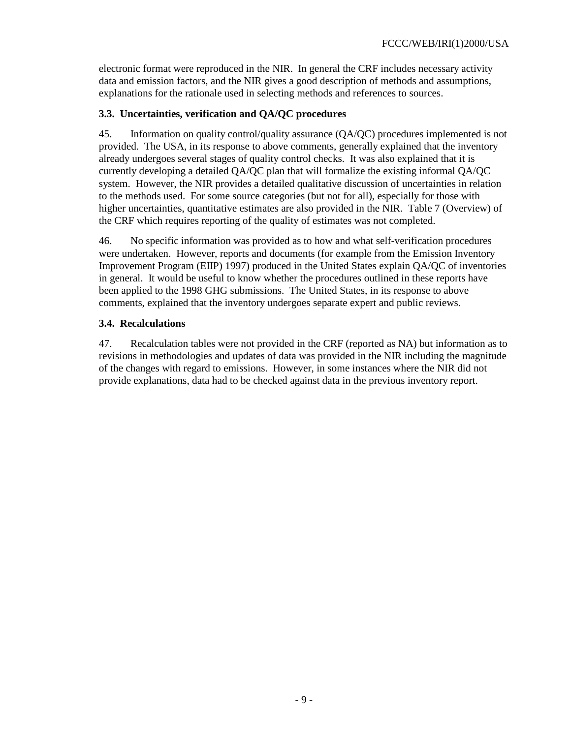electronic format were reproduced in the NIR. In general the CRF includes necessary activity data and emission factors, and the NIR gives a good description of methods and assumptions, explanations for the rationale used in selecting methods and references to sources.

## **3.3. Uncertainties, verification and QA/QC procedures**

45. Information on quality control/quality assurance (QA/QC) procedures implemented is not provided. The USA, in its response to above comments, generally explained that the inventory already undergoes several stages of quality control checks. It was also explained that it is currently developing a detailed QA/QC plan that will formalize the existing informal QA/QC system. However, the NIR provides a detailed qualitative discussion of uncertainties in relation to the methods used. For some source categories (but not for all), especially for those with higher uncertainties, quantitative estimates are also provided in the NIR. Table 7 (Overview) of the CRF which requires reporting of the quality of estimates was not completed.

46. No specific information was provided as to how and what self-verification procedures were undertaken. However, reports and documents (for example from the Emission Inventory Improvement Program (EIIP) 1997) produced in the United States explain QA/QC of inventories in general. It would be useful to know whether the procedures outlined in these reports have been applied to the 1998 GHG submissions. The United States, in its response to above comments, explained that the inventory undergoes separate expert and public reviews.

## **3.4. Recalculations**

47. Recalculation tables were not provided in the CRF (reported as NA) but information as to revisions in methodologies and updates of data was provided in the NIR including the magnitude of the changes with regard to emissions. However, in some instances where the NIR did not provide explanations, data had to be checked against data in the previous inventory report.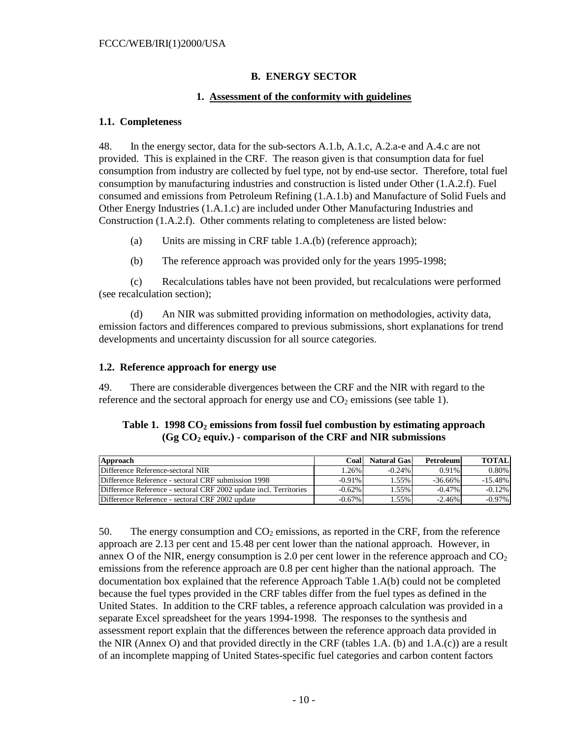# **B. ENERGY SECTOR**

## **1. Assessment of the conformity with guidelines**

#### **1.1. Completeness**

48. In the energy sector, data for the sub-sectors A.1.b, A.1.c, A.2.a-e and A.4.c are not provided. This is explained in the CRF. The reason given is that consumption data for fuel consumption from industry are collected by fuel type, not by end-use sector. Therefore, total fuel consumption by manufacturing industries and construction is listed under Other (1.A.2.f). Fuel consumed and emissions from Petroleum Refining (1.A.1.b) and Manufacture of Solid Fuels and Other Energy Industries (1.A.1.c) are included under Other Manufacturing Industries and Construction (1.A.2.f). Other comments relating to completeness are listed below:

- (a) Units are missing in CRF table 1.A.(b) (reference approach);
- (b) The reference approach was provided only for the years 1995-1998;

(c) Recalculations tables have not been provided, but recalculations were performed (see recalculation section);

(d) An NIR was submitted providing information on methodologies, activity data, emission factors and differences compared to previous submissions, short explanations for trend developments and uncertainty discussion for all source categories.

### **1.2. Reference approach for energy use**

49. There are considerable divergences between the CRF and the NIR with regard to the reference and the sectoral approach for energy use and  $CO<sub>2</sub>$  emissions (see table 1).

| Table 1. $1998 \text{ CO}_2$ emissions from fossil fuel combustion by estimating approach |
|-------------------------------------------------------------------------------------------|
| $(Gg CO2$ equiv.) - comparison of the CRF and NIR submissions                             |

| Approach                                                          | Coal      | <b>Natural Gas</b> | Petroleum  | <b>TOTAL</b> |
|-------------------------------------------------------------------|-----------|--------------------|------------|--------------|
| Difference Reference-sectoral NIR                                 | .26%      | $-0.24%$           | $0.91\%$   | $0.80\%$     |
| Difference Reference - sectoral CRF submission 1998               | $-0.91\%$ | $1.55\%$           | $-36.66\%$ | $-15.48\%$   |
| Difference Reference - sectoral CRF 2002 update incl. Territories | $-0.62\%$ | $1.55\%$           | $-0.47\%$  | $-0.12\%$    |
| Difference Reference - sectoral CRF 2002 update                   | $-0.67\%$ | 55%                | $-2.46%$   | $-0.97\%$    |

50. The energy consumption and  $CO<sub>2</sub>$  emissions, as reported in the CRF, from the reference approach are 2.13 per cent and 15.48 per cent lower than the national approach. However, in annex O of the NIR, energy consumption is 2.0 per cent lower in the reference approach and  $CO<sub>2</sub>$ emissions from the reference approach are 0.8 per cent higher than the national approach. The documentation box explained that the reference Approach Table 1.A(b) could not be completed because the fuel types provided in the CRF tables differ from the fuel types as defined in the United States. In addition to the CRF tables, a reference approach calculation was provided in a separate Excel spreadsheet for the years 1994-1998. The responses to the synthesis and assessment report explain that the differences between the reference approach data provided in the NIR (Annex O) and that provided directly in the CRF (tables 1.A. (b) and 1.A.(c)) are a result of an incomplete mapping of United States-specific fuel categories and carbon content factors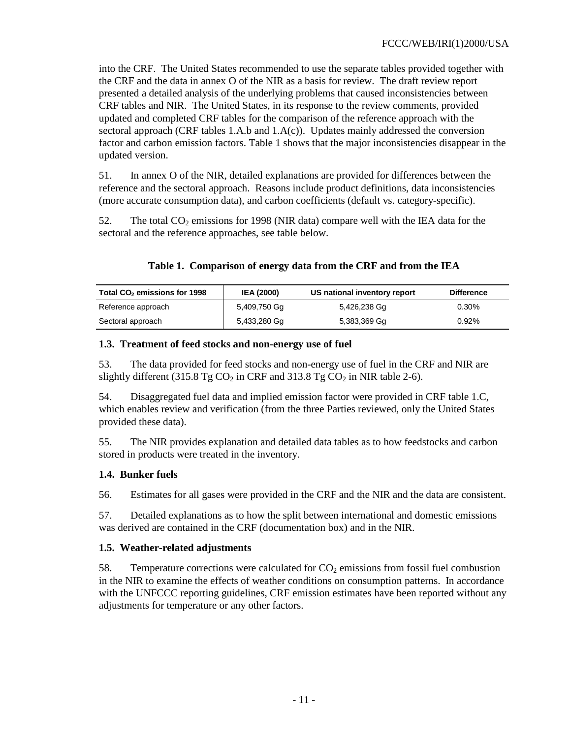into the CRF. The United States recommended to use the separate tables provided together with the CRF and the data in annex O of the NIR as a basis for review. The draft review report presented a detailed analysis of the underlying problems that caused inconsistencies between CRF tables and NIR. The United States, in its response to the review comments, provided updated and completed CRF tables for the comparison of the reference approach with the sectoral approach (CRF tables 1.A.b and 1.A(c)). Updates mainly addressed the conversion factor and carbon emission factors. Table 1 shows that the major inconsistencies disappear in the updated version.

51. In annex O of the NIR, detailed explanations are provided for differences between the reference and the sectoral approach. Reasons include product definitions, data inconsistencies (more accurate consumption data), and carbon coefficients (default vs. category-specific).

52. The total  $CO<sub>2</sub>$  emissions for 1998 (NIR data) compare well with the IEA data for the sectoral and the reference approaches, see table below.

| Table 1. Comparison of energy data from the CRF and from the IEA |  |  |  |  |
|------------------------------------------------------------------|--|--|--|--|
|                                                                  |  |  |  |  |

| Total CO <sub>2</sub> emissions for 1998 | <b>IEA (2000)</b> | US national inventory report | <b>Difference</b> |
|------------------------------------------|-------------------|------------------------------|-------------------|
| Reference approach                       | 5,409,750 Gq      | 5,426,238 Gg                 | $0.30\%$          |
| Sectoral approach                        | 5,433,280 Gg      | 5,383,369 Gg                 | 0.92%             |

### **1.3. Treatment of feed stocks and non-energy use of fuel**

53. The data provided for feed stocks and non-energy use of fuel in the CRF and NIR are slightly different (315.8 Tg  $CO_2$  in CRF and 313.8 Tg  $CO_2$  in NIR table 2-6).

54. Disaggregated fuel data and implied emission factor were provided in CRF table 1.C, which enables review and verification (from the three Parties reviewed, only the United States provided these data).

55. The NIR provides explanation and detailed data tables as to how feedstocks and carbon stored in products were treated in the inventory.

## **1.4. Bunker fuels**

56. Estimates for all gases were provided in the CRF and the NIR and the data are consistent.

57. Detailed explanations as to how the split between international and domestic emissions was derived are contained in the CRF (documentation box) and in the NIR.

## **1.5. Weather-related adjustments**

58. Temperature corrections were calculated for  $CO<sub>2</sub>$  emissions from fossil fuel combustion in the NIR to examine the effects of weather conditions on consumption patterns. In accordance with the UNFCCC reporting guidelines, CRF emission estimates have been reported without any adjustments for temperature or any other factors.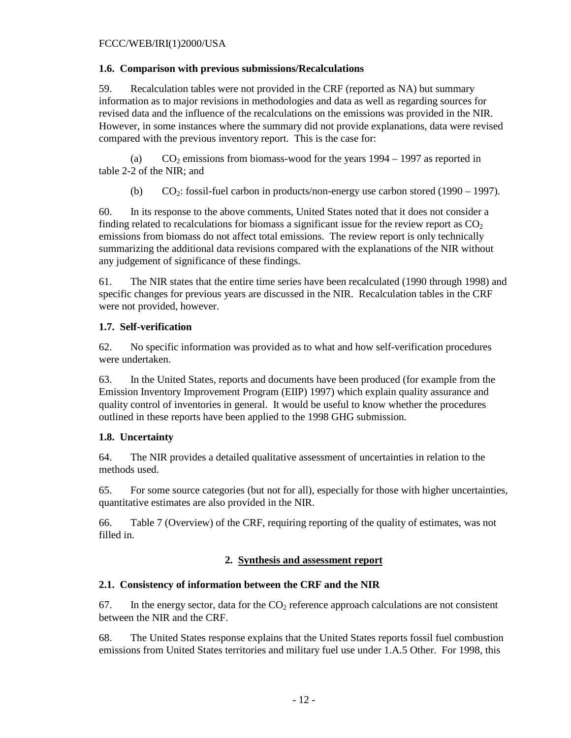### **1.6. Comparison with previous submissions/Recalculations**

59. Recalculation tables were not provided in the CRF (reported as NA) but summary information as to major revisions in methodologies and data as well as regarding sources for revised data and the influence of the recalculations on the emissions was provided in the NIR. However, in some instances where the summary did not provide explanations, data were revised compared with the previous inventory report. This is the case for:

(a)  $CO_2$  emissions from biomass-wood for the years 1994 – 1997 as reported in table 2-2 of the NIR; and

(b)  $CO_2$ : fossil-fuel carbon in products/non-energy use carbon stored (1990 – 1997).

60. In its response to the above comments, United States noted that it does not consider a finding related to recalculations for biomass a significant issue for the review report as  $CO<sub>2</sub>$ emissions from biomass do not affect total emissions. The review report is only technically summarizing the additional data revisions compared with the explanations of the NIR without any judgement of significance of these findings.

61. The NIR states that the entire time series have been recalculated (1990 through 1998) and specific changes for previous years are discussed in the NIR. Recalculation tables in the CRF were not provided, however.

# **1.7. Self-verification**

62. No specific information was provided as to what and how self-verification procedures were undertaken.

63. In the United States, reports and documents have been produced (for example from the Emission Inventory Improvement Program (EIIP) 1997) which explain quality assurance and quality control of inventories in general. It would be useful to know whether the procedures outlined in these reports have been applied to the 1998 GHG submission.

# **1.8. Uncertainty**

64. The NIR provides a detailed qualitative assessment of uncertainties in relation to the methods used.

65. For some source categories (but not for all), especially for those with higher uncertainties, quantitative estimates are also provided in the NIR.

66. Table 7 (Overview) of the CRF, requiring reporting of the quality of estimates, was not filled in.

## **2. Synthesis and assessment report**

## **2.1. Consistency of information between the CRF and the NIR**

67. In the energy sector, data for the  $CO<sub>2</sub>$  reference approach calculations are not consistent between the NIR and the CRF.

68. The United States response explains that the United States reports fossil fuel combustion emissions from United States territories and military fuel use under 1.A.5 Other. For 1998, this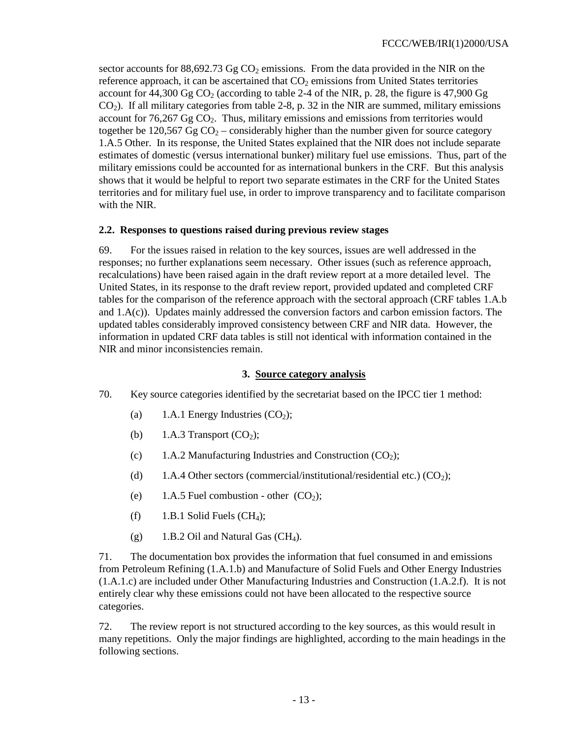sector accounts for  $88,692.73$  Gg CO<sub>2</sub> emissions. From the data provided in the NIR on the reference approach, it can be ascertained that  $CO<sub>2</sub>$  emissions from United States territories account for  $44,300$  Gg CO<sub>2</sub> (according to table 2-4 of the NIR, p. 28, the figure is 47,900 Gg CO2). If all military categories from table 2-8, p. 32 in the NIR are summed, military emissions account for  $76,267$  Gg  $CO<sub>2</sub>$ . Thus, military emissions and emissions from territories would together be 120,567 Gg  $CO<sub>2</sub>$  – considerably higher than the number given for source category 1.A.5 Other. In its response, the United States explained that the NIR does not include separate estimates of domestic (versus international bunker) military fuel use emissions. Thus, part of the military emissions could be accounted for as international bunkers in the CRF. But this analysis shows that it would be helpful to report two separate estimates in the CRF for the United States territories and for military fuel use, in order to improve transparency and to facilitate comparison with the NIR.

### **2.2. Responses to questions raised during previous review stages**

69. For the issues raised in relation to the key sources, issues are well addressed in the responses; no further explanations seem necessary. Other issues (such as reference approach, recalculations) have been raised again in the draft review report at a more detailed level. The United States, in its response to the draft review report, provided updated and completed CRF tables for the comparison of the reference approach with the sectoral approach (CRF tables 1.A.b and 1.A(c)). Updates mainly addressed the conversion factors and carbon emission factors. The updated tables considerably improved consistency between CRF and NIR data. However, the information in updated CRF data tables is still not identical with information contained in the NIR and minor inconsistencies remain.

### **3. Source category analysis**

- 70. Key source categories identified by the secretariat based on the IPCC tier 1 method:
	- (a) 1.A.1 Energy Industries  $(CO<sub>2</sub>)$ ;
	- (b) 1.A.3 Transport  $(CO<sub>2</sub>)$ ;
	- (c) 1.A.2 Manufacturing Industries and Construction  $(CO<sub>2</sub>)$ ;
	- (d) 1.A.4 Other sectors (commercial/institutional/residential etc.)  $(CO<sub>2</sub>)$ ;
	- (e) 1.A.5 Fuel combustion other  $(CO<sub>2</sub>)$ ;
	- (f)  $1.B.1$  Solid Fuels (CH<sub>4</sub>);
	- (g) 1.B.2 Oil and Natural Gas  $(CH_4)$ .

71. The documentation box provides the information that fuel consumed in and emissions from Petroleum Refining (1.A.1.b) and Manufacture of Solid Fuels and Other Energy Industries (1.A.1.c) are included under Other Manufacturing Industries and Construction (1.A.2.f). It is not entirely clear why these emissions could not have been allocated to the respective source categories.

72. The review report is not structured according to the key sources, as this would result in many repetitions. Only the major findings are highlighted, according to the main headings in the following sections.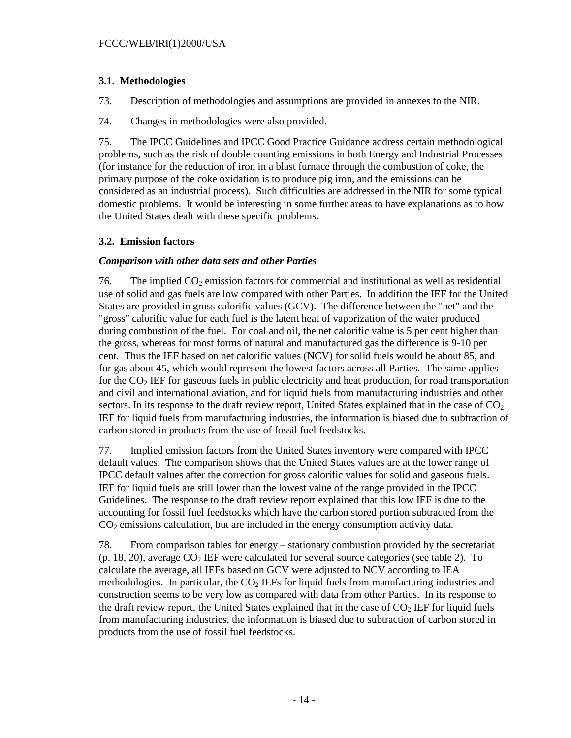# **3.1. Methodologies**

73. Description of methodologies and assumptions are provided in annexes to the NIR.

74. Changes in methodologies were also provided.

75. The IPCC Guidelines and IPCC Good Practice Guidance address certain methodological problems, such as the risk of double counting emissions in both Energy and Industrial Processes (for instance for the reduction of iron in a blast furnace through the combustion of coke, the primary purpose of the coke oxidation is to produce pig iron, and the emissions can be considered as an industrial process). Such difficulties are addressed in the NIR for some typical domestic problems. It would be interesting in some further areas to have explanations as to how the United States dealt with these specific problems.

## **3.2. Emission factors**

## *Comparison with other data sets and other Parties*

76. The implied  $CO<sub>2</sub>$  emission factors for commercial and institutional as well as residential use of solid and gas fuels are low compared with other Parties. In addition the IEF for the United States are provided in gross calorific values (GCV). The difference between the "net" and the "gross" calorific value for each fuel is the latent heat of vaporization of the water produced during combustion of the fuel. For coal and oil, the net calorific value is 5 per cent higher than the gross, whereas for most forms of natural and manufactured gas the difference is 9-10 per cent. Thus the IEF based on net calorific values (NCV) for solid fuels would be about 85, and for gas about 45, which would represent the lowest factors across all Parties. The same applies for the CO<sub>2</sub> IEF for gaseous fuels in public electricity and heat production, for road transportation and civil and international aviation, and for liquid fuels from manufacturing industries and other sectors. In its response to the draft review report, United States explained that in the case of  $CO<sub>2</sub>$ IEF for liquid fuels from manufacturing industries, the information is biased due to subtraction of carbon stored in products from the use of fossil fuel feedstocks.

77. Implied emission factors from the United States inventory were compared with IPCC default values. The comparison shows that the United States values are at the lower range of IPCC default values after the correction for gross calorific values for solid and gaseous fuels. IEF for liquid fuels are still lower than the lowest value of the range provided in the IPCC Guidelines. The response to the draft review report explained that this low IEF is due to the accounting for fossil fuel feedstocks which have the carbon stored portion subtracted from the  $CO<sub>2</sub>$  emissions calculation, but are included in the energy consumption activity data.

78. From comparison tables for energy – stationary combustion provided by the secretariat (p. 18, 20), average  $CO<sub>2</sub> IEF$  were calculated for several source categories (see table 2). To calculate the average, all IEFs based on GCV were adjusted to NCV according to IEA methodologies. In particular, the  $CO<sub>2</sub> IEFs$  for liquid fuels from manufacturing industries and construction seems to be very low as compared with data from other Parties. In its response to the draft review report, the United States explained that in the case of  $CO<sub>2</sub> IEF$  for liquid fuels from manufacturing industries, the information is biased due to subtraction of carbon stored in products from the use of fossil fuel feedstocks.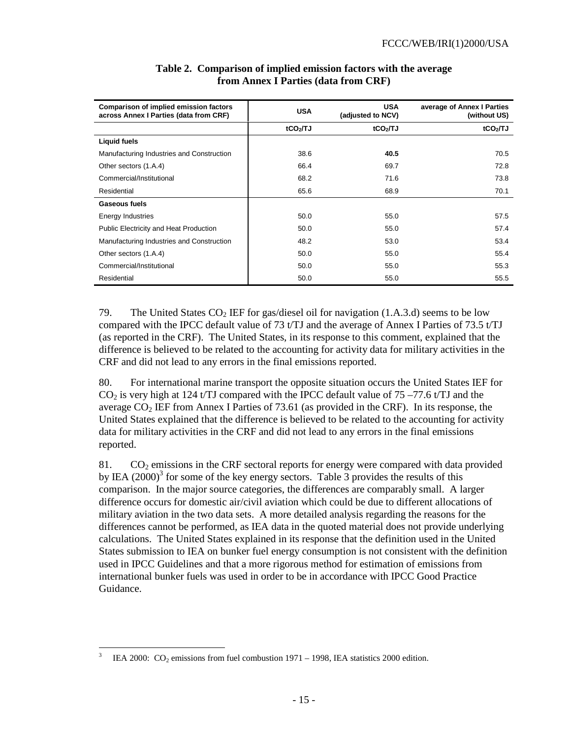| <b>Comparison of implied emission factors</b><br>across Annex I Parties (data from CRF) | <b>USA</b>           | <b>USA</b><br>(adjusted to NCV) | average of Annex I Parties<br>(without US) |
|-----------------------------------------------------------------------------------------|----------------------|---------------------------------|--------------------------------------------|
|                                                                                         | tCO <sub>2</sub> /TJ | tCO <sub>2</sub> /TJ            | tCO <sub>2</sub> /TJ                       |
| <b>Liquid fuels</b>                                                                     |                      |                                 |                                            |
| Manufacturing Industries and Construction                                               | 38.6                 | 40.5                            | 70.5                                       |
| Other sectors (1.A.4)                                                                   | 66.4                 | 69.7                            | 72.8                                       |
| Commercial/Institutional                                                                | 68.2                 | 71.6                            | 73.8                                       |
| Residential                                                                             | 65.6                 | 68.9                            | 70.1                                       |
| Gaseous fuels                                                                           |                      |                                 |                                            |
| <b>Energy Industries</b>                                                                | 50.0                 | 55.0                            | 57.5                                       |
| <b>Public Electricity and Heat Production</b>                                           | 50.0                 | 55.0                            | 57.4                                       |
| Manufacturing Industries and Construction                                               | 48.2                 | 53.0                            | 53.4                                       |
| Other sectors (1.A.4)                                                                   | 50.0                 | 55.0                            | 55.4                                       |
| Commercial/Institutional                                                                | 50.0                 | 55.0                            | 55.3                                       |
| Residential                                                                             | 50.0                 | 55.0                            | 55.5                                       |

# **Table 2. Comparison of implied emission factors with the average from Annex I Parties (data from CRF)**

79. The United States  $CO<sub>2</sub> IEF$  for gas/diesel oil for navigation (1.A.3.d) seems to be low compared with the IPCC default value of 73 t/TJ and the average of Annex I Parties of 73.5 t/TJ (as reported in the CRF). The United States, in its response to this comment, explained that the difference is believed to be related to the accounting for activity data for military activities in the CRF and did not lead to any errors in the final emissions reported.

80. For international marine transport the opposite situation occurs the United States IEF for  $CO<sub>2</sub>$  is very high at 124 t/TJ compared with the IPCC default value of 75 –77.6 t/TJ and the average  $CO<sub>2</sub>$  IEF from Annex I Parties of 73.61 (as provided in the CRF). In its response, the United States explained that the difference is believed to be related to the accounting for activity data for military activities in the CRF and did not lead to any errors in the final emissions reported.

81.  $CO<sub>2</sub>$  emissions in the CRF sectoral reports for energy were compared with data provided by IEA  $(2000)^3$  for some of the key energy sectors. Table 3 provides the results of this comparison. In the major source categories, the differences are comparably small. A larger difference occurs for domestic air/civil aviation which could be due to different allocations of military aviation in the two data sets. A more detailed analysis regarding the reasons for the differences cannot be performed, as IEA data in the quoted material does not provide underlying calculations. The United States explained in its response that the definition used in the United States submission to IEA on bunker fuel energy consumption is not consistent with the definition used in IPCC Guidelines and that a more rigorous method for estimation of emissions from international bunker fuels was used in order to be in accordance with IPCC Good Practice Guidance.

<sup>-</sup>3 IEA 2000:  $CO<sub>2</sub>$  emissions from fuel combustion 1971 – 1998, IEA statistics 2000 edition.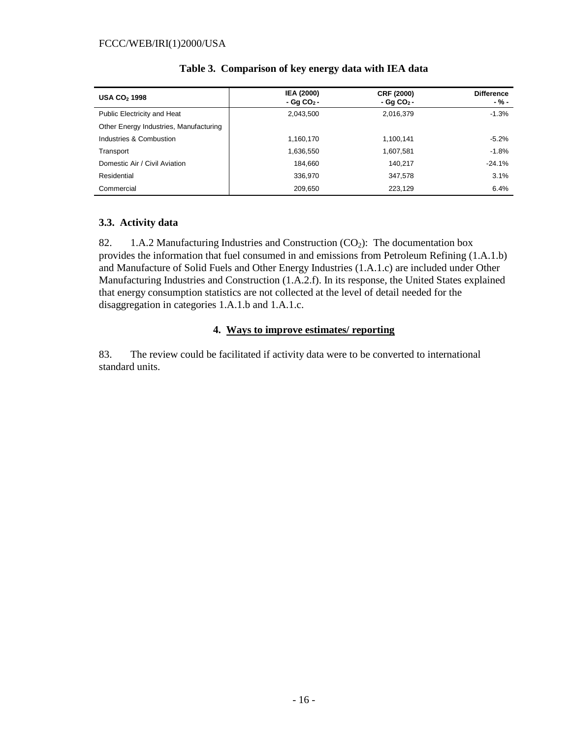| <b>USA CO<sub>2</sub> 1998</b>         | <b>IEA (2000)</b><br>$-Gq CO2$ - | <b>CRF (2000)</b><br>$-Gq CO2$ - | <b>Difference</b><br>$-$ % – |
|----------------------------------------|----------------------------------|----------------------------------|------------------------------|
| <b>Public Electricity and Heat</b>     | 2,043,500                        | 2,016,379                        | $-1.3%$                      |
| Other Energy Industries, Manufacturing |                                  |                                  |                              |
| Industries & Combustion                | 1,160,170                        | 1,100,141                        | $-5.2%$                      |
| Transport                              | 1,636,550                        | 1,607,581                        | $-1.8%$                      |
| Domestic Air / Civil Aviation          | 184.660                          | 140.217                          | $-24.1%$                     |
| Residential                            | 336,970                          | 347,578                          | 3.1%                         |
| Commercial                             | 209.650                          | 223.129                          | 6.4%                         |

### **Table 3. Comparison of key energy data with IEA data**

### **3.3. Activity data**

82. 1.A.2 Manufacturing Industries and Construction  $(CO<sub>2</sub>)$ : The documentation box provides the information that fuel consumed in and emissions from Petroleum Refining (1.A.1.b) and Manufacture of Solid Fuels and Other Energy Industries (1.A.1.c) are included under Other Manufacturing Industries and Construction (1.A.2.f). In its response, the United States explained that energy consumption statistics are not collected at the level of detail needed for the disaggregation in categories 1.A.1.b and 1.A.1.c.

### **4. Ways to improve estimates/ reporting**

83. The review could be facilitated if activity data were to be converted to international standard units.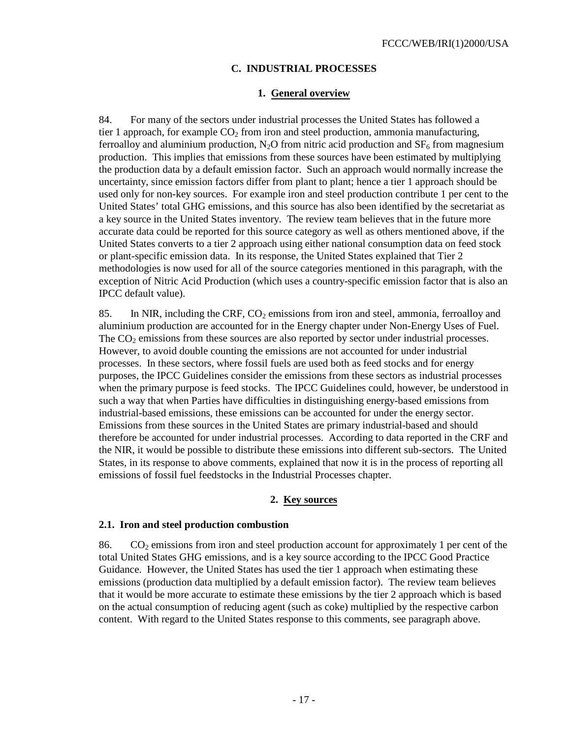## **C. INDUSTRIAL PROCESSES**

#### **1. General overview**

84. For many of the sectors under industrial processes the United States has followed a tier 1 approach, for example  $CO<sub>2</sub>$  from iron and steel production, ammonia manufacturing, ferroalloy and aluminium production,  $N_2O$  from nitric acid production and  $SF<sub>6</sub>$  from magnesium production. This implies that emissions from these sources have been estimated by multiplying the production data by a default emission factor. Such an approach would normally increase the uncertainty, since emission factors differ from plant to plant; hence a tier 1 approach should be used only for non-key sources. For example iron and steel production contribute 1 per cent to the United States' total GHG emissions, and this source has also been identified by the secretariat as a key source in the United States inventory. The review team believes that in the future more accurate data could be reported for this source category as well as others mentioned above, if the United States converts to a tier 2 approach using either national consumption data on feed stock or plant-specific emission data. In its response, the United States explained that Tier 2 methodologies is now used for all of the source categories mentioned in this paragraph, with the exception of Nitric Acid Production (which uses a country-specific emission factor that is also an IPCC default value).

85. In NIR, including the CRF,  $CO<sub>2</sub>$  emissions from iron and steel, ammonia, ferroalloy and aluminium production are accounted for in the Energy chapter under Non-Energy Uses of Fuel. The  $CO<sub>2</sub>$  emissions from these sources are also reported by sector under industrial processes. However, to avoid double counting the emissions are not accounted for under industrial processes. In these sectors, where fossil fuels are used both as feed stocks and for energy purposes, the IPCC Guidelines consider the emissions from these sectors as industrial processes when the primary purpose is feed stocks. The IPCC Guidelines could, however, be understood in such a way that when Parties have difficulties in distinguishing energy-based emissions from industrial-based emissions, these emissions can be accounted for under the energy sector. Emissions from these sources in the United States are primary industrial-based and should therefore be accounted for under industrial processes. According to data reported in the CRF and the NIR, it would be possible to distribute these emissions into different sub-sectors. The United States, in its response to above comments, explained that now it is in the process of reporting all emissions of fossil fuel feedstocks in the Industrial Processes chapter.

## **2. Key sources**

#### **2.1. Iron and steel production combustion**

86. CO<sub>2</sub> emissions from iron and steel production account for approximately 1 per cent of the total United States GHG emissions, and is a key source according to the IPCC Good Practice Guidance. However, the United States has used the tier 1 approach when estimating these emissions (production data multiplied by a default emission factor). The review team believes that it would be more accurate to estimate these emissions by the tier 2 approach which is based on the actual consumption of reducing agent (such as coke) multiplied by the respective carbon content. With regard to the United States response to this comments, see paragraph above.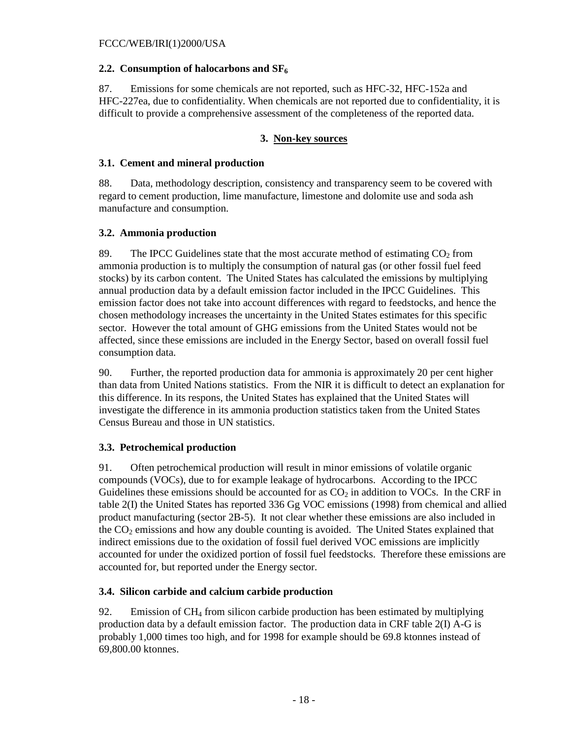### 2.2. Consumption of halocarbons and SF<sub>6</sub>

87. Emissions for some chemicals are not reported, such as HFC-32, HFC-152a and HFC-227ea, due to confidentiality. When chemicals are not reported due to confidentiality, it is difficult to provide a comprehensive assessment of the completeness of the reported data.

## **3. Non-key sources**

#### **3.1. Cement and mineral production**

88. Data, methodology description, consistency and transparency seem to be covered with regard to cement production, lime manufacture, limestone and dolomite use and soda ash manufacture and consumption.

### **3.2. Ammonia production**

89. The IPCC Guidelines state that the most accurate method of estimating  $CO<sub>2</sub>$  from ammonia production is to multiply the consumption of natural gas (or other fossil fuel feed stocks) by its carbon content. The United States has calculated the emissions by multiplying annual production data by a default emission factor included in the IPCC Guidelines. This emission factor does not take into account differences with regard to feedstocks, and hence the chosen methodology increases the uncertainty in the United States estimates for this specific sector. However the total amount of GHG emissions from the United States would not be affected, since these emissions are included in the Energy Sector, based on overall fossil fuel consumption data.

90. Further, the reported production data for ammonia is approximately 20 per cent higher than data from United Nations statistics. From the NIR it is difficult to detect an explanation for this difference. In its respons, the United States has explained that the United States will investigate the difference in its ammonia production statistics taken from the United States Census Bureau and those in UN statistics.

## **3.3. Petrochemical production**

91. Often petrochemical production will result in minor emissions of volatile organic compounds (VOCs), due to for example leakage of hydrocarbons. According to the IPCC Guidelines these emissions should be accounted for as  $CO<sub>2</sub>$  in addition to VOCs. In the CRF in table 2(I) the United States has reported 336 Gg VOC emissions (1998) from chemical and allied product manufacturing (sector 2B-5). It not clear whether these emissions are also included in the  $CO<sub>2</sub>$  emissions and how any double counting is avoided. The United States explained that indirect emissions due to the oxidation of fossil fuel derived VOC emissions are implicitly accounted for under the oxidized portion of fossil fuel feedstocks. Therefore these emissions are accounted for, but reported under the Energy sector.

## **3.4. Silicon carbide and calcium carbide production**

92. Emission of  $CH_4$  from silicon carbide production has been estimated by multiplying production data by a default emission factor. The production data in CRF table 2(I) A-G is probably 1,000 times too high, and for 1998 for example should be 69.8 ktonnes instead of 69,800.00 ktonnes.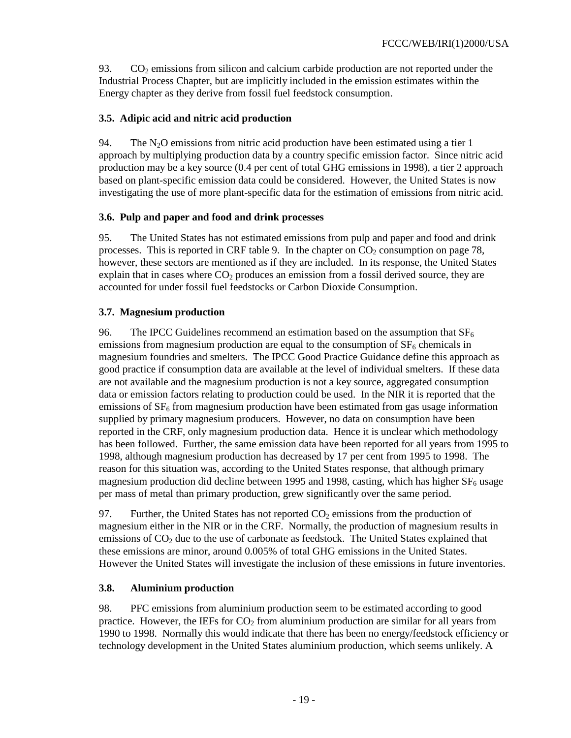93.  $CO<sub>2</sub>$  emissions from silicon and calcium carbide production are not reported under the Industrial Process Chapter, but are implicitly included in the emission estimates within the Energy chapter as they derive from fossil fuel feedstock consumption.

# **3.5. Adipic acid and nitric acid production**

94. The  $N_2O$  emissions from nitric acid production have been estimated using a tier 1 approach by multiplying production data by a country specific emission factor. Since nitric acid production may be a key source (0.4 per cent of total GHG emissions in 1998), a tier 2 approach based on plant-specific emission data could be considered. However, the United States is now investigating the use of more plant-specific data for the estimation of emissions from nitric acid.

# **3.6. Pulp and paper and food and drink processes**

95. The United States has not estimated emissions from pulp and paper and food and drink processes. This is reported in CRF table 9. In the chapter on  $CO<sub>2</sub>$  consumption on page 78, however, these sectors are mentioned as if they are included. In its response, the United States explain that in cases where  $CO<sub>2</sub>$  produces an emission from a fossil derived source, they are accounted for under fossil fuel feedstocks or Carbon Dioxide Consumption.

# **3.7. Magnesium production**

96. The IPCC Guidelines recommend an estimation based on the assumption that  $SF<sub>6</sub>$ emissions from magnesium production are equal to the consumption of  $SF<sub>6</sub>$  chemicals in magnesium foundries and smelters. The IPCC Good Practice Guidance define this approach as good practice if consumption data are available at the level of individual smelters. If these data are not available and the magnesium production is not a key source, aggregated consumption data or emission factors relating to production could be used. In the NIR it is reported that the emissions of  $SF<sub>6</sub>$  from magnesium production have been estimated from gas usage information supplied by primary magnesium producers. However, no data on consumption have been reported in the CRF, only magnesium production data. Hence it is unclear which methodology has been followed. Further, the same emission data have been reported for all years from 1995 to 1998, although magnesium production has decreased by 17 per cent from 1995 to 1998. The reason for this situation was, according to the United States response, that although primary magnesium production did decline between 1995 and 1998, casting, which has higher  $SF_6$  usage per mass of metal than primary production, grew significantly over the same period.

97. Further, the United States has not reported  $CO<sub>2</sub>$  emissions from the production of magnesium either in the NIR or in the CRF. Normally, the production of magnesium results in emissions of  $CO<sub>2</sub>$  due to the use of carbonate as feedstock. The United States explained that these emissions are minor, around 0.005% of total GHG emissions in the United States. However the United States will investigate the inclusion of these emissions in future inventories.

## **3.8. Aluminium production**

98. PFC emissions from aluminium production seem to be estimated according to good practice. However, the IEFs for  $CO<sub>2</sub>$  from aluminium production are similar for all years from 1990 to 1998. Normally this would indicate that there has been no energy/feedstock efficiency or technology development in the United States aluminium production, which seems unlikely. A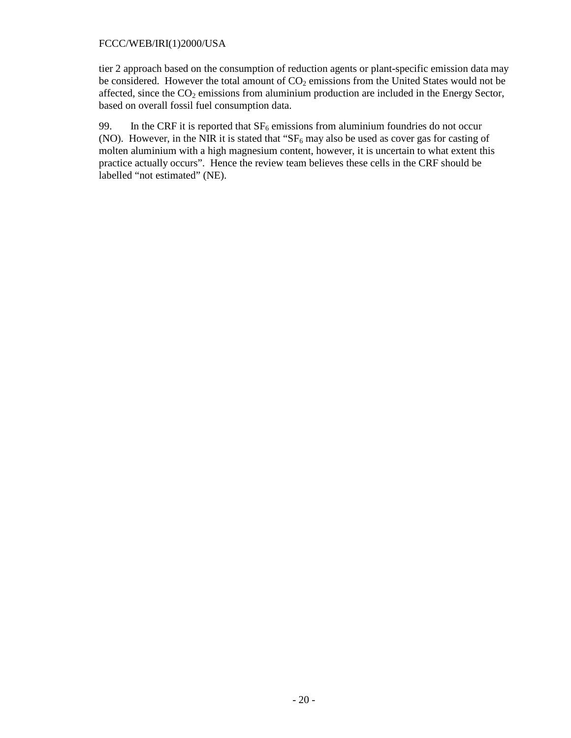tier 2 approach based on the consumption of reduction agents or plant-specific emission data may be considered. However the total amount of  $CO<sub>2</sub>$  emissions from the United States would not be affected, since the  $CO<sub>2</sub>$  emissions from aluminium production are included in the Energy Sector, based on overall fossil fuel consumption data.

99. In the CRF it is reported that  $SF_6$  emissions from aluminium foundries do not occur (NO). However, in the NIR it is stated that " $SF_6$  may also be used as cover gas for casting of molten aluminium with a high magnesium content, however, it is uncertain to what extent this practice actually occurs". Hence the review team believes these cells in the CRF should be labelled "not estimated" (NE).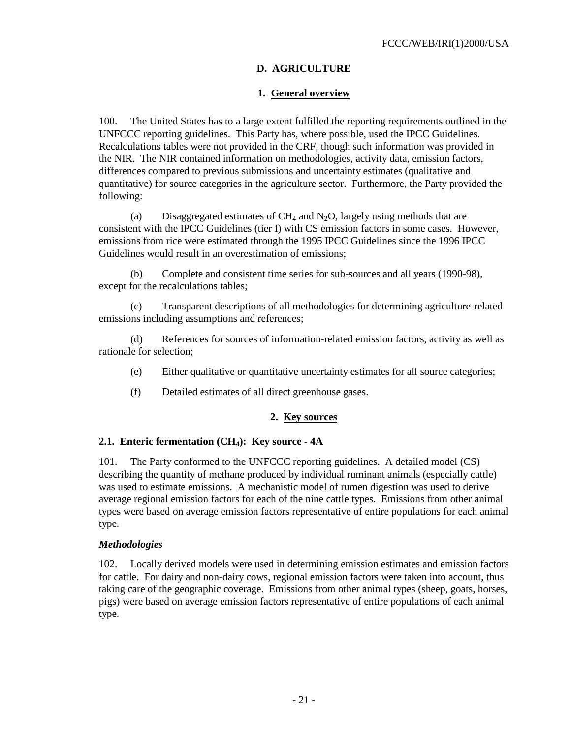## **D. AGRICULTURE**

### **1. General overview**

100. The United States has to a large extent fulfilled the reporting requirements outlined in the UNFCCC reporting guidelines. This Party has, where possible, used the IPCC Guidelines. Recalculations tables were not provided in the CRF, though such information was provided in the NIR. The NIR contained information on methodologies, activity data, emission factors, differences compared to previous submissions and uncertainty estimates (qualitative and quantitative) for source categories in the agriculture sector. Furthermore, the Party provided the following:

(a) Disaggregated estimates of  $CH_4$  and  $N_2O$ , largely using methods that are consistent with the IPCC Guidelines (tier I) with CS emission factors in some cases. However, emissions from rice were estimated through the 1995 IPCC Guidelines since the 1996 IPCC Guidelines would result in an overestimation of emissions;

(b) Complete and consistent time series for sub-sources and all years (1990-98), except for the recalculations tables;

(c) Transparent descriptions of all methodologies for determining agriculture-related emissions including assumptions and references;

(d) References for sources of information-related emission factors, activity as well as rationale for selection;

- (e) Either qualitative or quantitative uncertainty estimates for all source categories;
- (f) Detailed estimates of all direct greenhouse gases.

#### **2. Key sources**

#### 2.1. Enteric fermentation (CH<sub>4</sub>): Key source - 4A

101. The Party conformed to the UNFCCC reporting guidelines. A detailed model (CS) describing the quantity of methane produced by individual ruminant animals (especially cattle) was used to estimate emissions. A mechanistic model of rumen digestion was used to derive average regional emission factors for each of the nine cattle types. Emissions from other animal types were based on average emission factors representative of entire populations for each animal type.

#### *Methodologies*

102. Locally derived models were used in determining emission estimates and emission factors for cattle. For dairy and non-dairy cows, regional emission factors were taken into account, thus taking care of the geographic coverage. Emissions from other animal types (sheep, goats, horses, pigs) were based on average emission factors representative of entire populations of each animal type.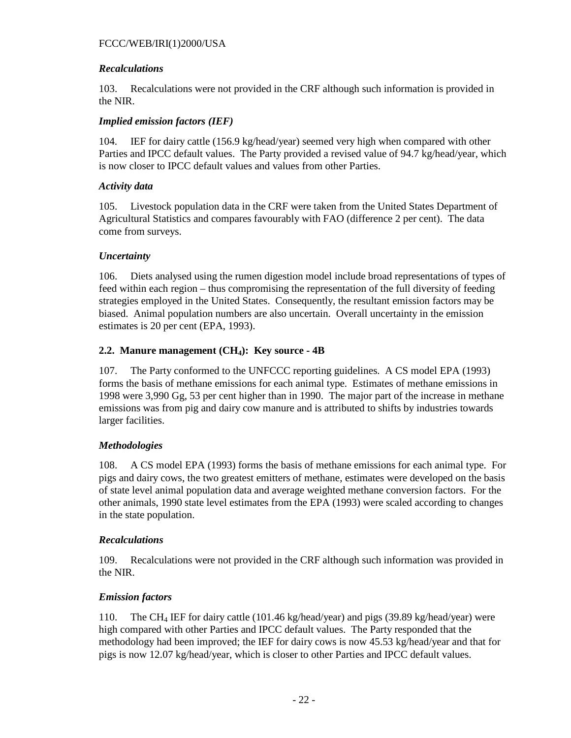### *Recalculations*

103. Recalculations were not provided in the CRF although such information is provided in the NIR.

### *Implied emission factors (IEF)*

104. IEF for dairy cattle (156.9 kg/head/year) seemed very high when compared with other Parties and IPCC default values. The Party provided a revised value of 94.7 kg/head/year, which is now closer to IPCC default values and values from other Parties.

### *Activity data*

105. Livestock population data in the CRF were taken from the United States Department of Agricultural Statistics and compares favourably with FAO (difference 2 per cent). The data come from surveys.

## *Uncertainty*

106. Diets analysed using the rumen digestion model include broad representations of types of feed within each region – thus compromising the representation of the full diversity of feeding strategies employed in the United States. Consequently, the resultant emission factors may be biased. Animal population numbers are also uncertain. Overall uncertainty in the emission estimates is 20 per cent (EPA, 1993).

## 2.2. Manure management (CH<sub>4</sub>): Key source - 4B

107. The Party conformed to the UNFCCC reporting guidelines. A CS model EPA (1993) forms the basis of methane emissions for each animal type. Estimates of methane emissions in 1998 were 3,990 Gg, 53 per cent higher than in 1990. The major part of the increase in methane emissions was from pig and dairy cow manure and is attributed to shifts by industries towards larger facilities.

## *Methodologies*

108. A CS model EPA (1993) forms the basis of methane emissions for each animal type. For pigs and dairy cows, the two greatest emitters of methane, estimates were developed on the basis of state level animal population data and average weighted methane conversion factors. For the other animals, 1990 state level estimates from the EPA (1993) were scaled according to changes in the state population.

#### *Recalculations*

109. Recalculations were not provided in the CRF although such information was provided in the NIR.

## *Emission factors*

110. The CH4 IEF for dairy cattle (101.46 kg/head/year) and pigs (39.89 kg/head/year) were high compared with other Parties and IPCC default values. The Party responded that the methodology had been improved; the IEF for dairy cows is now 45.53 kg/head/year and that for pigs is now 12.07 kg/head/year, which is closer to other Parties and IPCC default values.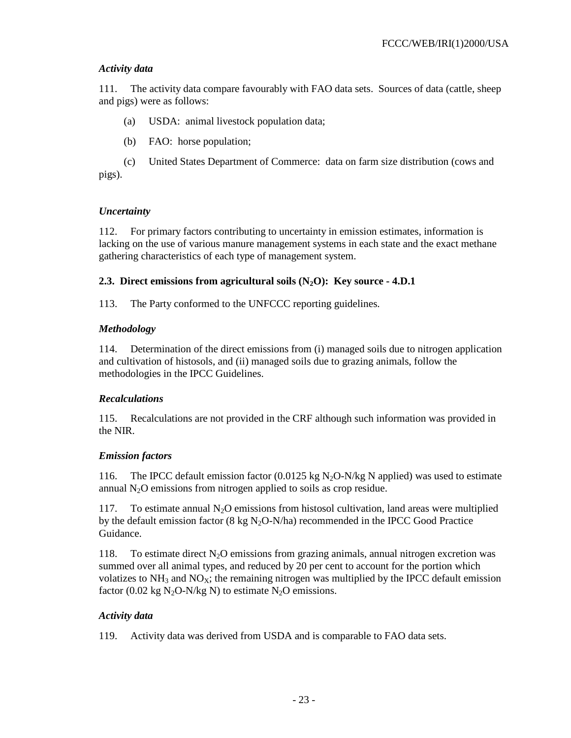### *Activity data*

111. The activity data compare favourably with FAO data sets. Sources of data (cattle, sheep and pigs) were as follows:

(a) USDA: animal livestock population data;

(b) FAO: horse population;

(c) United States Department of Commerce: data on farm size distribution (cows and pigs).

### *Uncertainty*

112. For primary factors contributing to uncertainty in emission estimates, information is lacking on the use of various manure management systems in each state and the exact methane gathering characteristics of each type of management system.

## **2.3. Direct emissions from agricultural soils (N2O): Key source - 4.D.1**

113. The Party conformed to the UNFCCC reporting guidelines.

## *Methodology*

114. Determination of the direct emissions from (i) managed soils due to nitrogen application and cultivation of histosols, and (ii) managed soils due to grazing animals, follow the methodologies in the IPCC Guidelines.

## *Recalculations*

115. Recalculations are not provided in the CRF although such information was provided in the NIR.

## *Emission factors*

116. The IPCC default emission factor (0.0125 kg  $N_2O-N/kg$  N applied) was used to estimate annual  $N_2O$  emissions from nitrogen applied to soils as crop residue.

117. To estimate annual  $N<sub>2</sub>O$  emissions from histosol cultivation, land areas were multiplied by the default emission factor (8 kg  $N_2O-N/ha$ ) recommended in the IPCC Good Practice Guidance.

118. To estimate direct  $N_2O$  emissions from grazing animals, annual nitrogen excretion was summed over all animal types, and reduced by 20 per cent to account for the portion which volatizes to  $NH_3$  and  $NO<sub>X</sub>$ ; the remaining nitrogen was multiplied by the IPCC default emission factor (0.02 kg  $N_2O-N/kg N$ ) to estimate  $N_2O$  emissions.

## *Activity data*

119. Activity data was derived from USDA and is comparable to FAO data sets.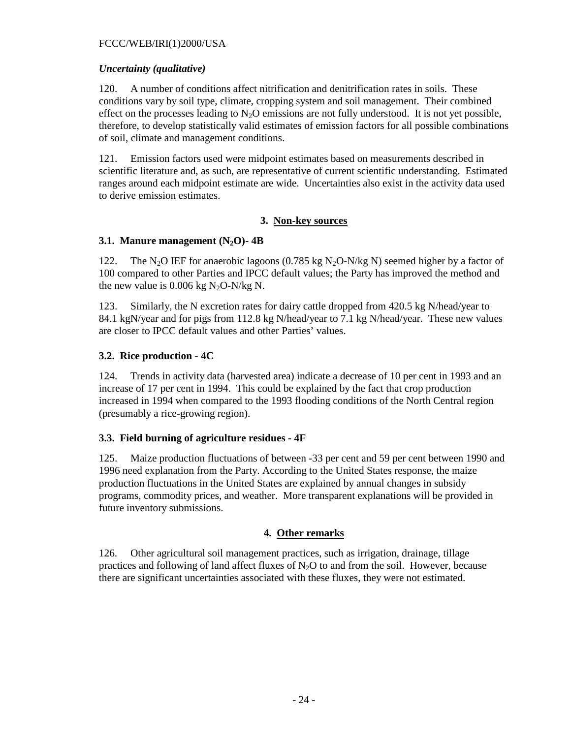#### *Uncertainty (qualitative)*

120. A number of conditions affect nitrification and denitrification rates in soils. These conditions vary by soil type, climate, cropping system and soil management. Their combined effect on the processes leading to  $N_2O$  emissions are not fully understood. It is not yet possible, therefore, to develop statistically valid estimates of emission factors for all possible combinations of soil, climate and management conditions.

121. Emission factors used were midpoint estimates based on measurements described in scientific literature and, as such, are representative of current scientific understanding. Estimated ranges around each midpoint estimate are wide. Uncertainties also exist in the activity data used to derive emission estimates.

### **3. Non-key sources**

### **3.1. Manure management (N<sub>2</sub>O)-4B**

122. The N<sub>2</sub>O IEF for anaerobic lagoons (0.785 kg N<sub>2</sub>O-N/kg N) seemed higher by a factor of 100 compared to other Parties and IPCC default values; the Party has improved the method and the new value is  $0.006$  kg N<sub>2</sub>O-N/kg N.

123. Similarly, the N excretion rates for dairy cattle dropped from 420.5 kg N/head/year to 84.1 kgN/year and for pigs from 112.8 kg N/head/year to 7.1 kg N/head/year. These new values are closer to IPCC default values and other Parties' values.

### **3.2. Rice production - 4C**

124. Trends in activity data (harvested area) indicate a decrease of 10 per cent in 1993 and an increase of 17 per cent in 1994. This could be explained by the fact that crop production increased in 1994 when compared to the 1993 flooding conditions of the North Central region (presumably a rice-growing region).

## **3.3. Field burning of agriculture residues - 4F**

125. Maize production fluctuations of between -33 per cent and 59 per cent between 1990 and 1996 need explanation from the Party. According to the United States response, the maize production fluctuations in the United States are explained by annual changes in subsidy programs, commodity prices, and weather. More transparent explanations will be provided in future inventory submissions.

## **4. Other remarks**

126. Other agricultural soil management practices, such as irrigation, drainage, tillage practices and following of land affect fluxes of  $N<sub>2</sub>O$  to and from the soil. However, because there are significant uncertainties associated with these fluxes, they were not estimated.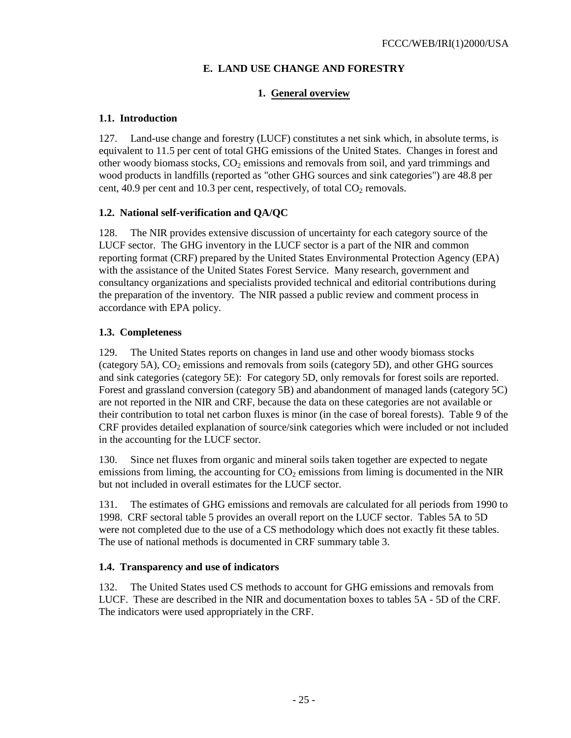# **E. LAND USE CHANGE AND FORESTRY**

### **1. General overview**

### **1.1. Introduction**

127. Land-use change and forestry (LUCF) constitutes a net sink which, in absolute terms, is equivalent to 11.5 per cent of total GHG emissions of the United States. Changes in forest and other woody biomass stocks,  $CO<sub>2</sub>$  emissions and removals from soil, and yard trimmings and wood products in landfills (reported as "other GHG sources and sink categories") are 48.8 per cent, 40.9 per cent and 10.3 per cent, respectively, of total  $CO<sub>2</sub>$  removals.

## **1.2. National self-verification and QA/QC**

128. The NIR provides extensive discussion of uncertainty for each category source of the LUCF sector. The GHG inventory in the LUCF sector is a part of the NIR and common reporting format (CRF) prepared by the United States Environmental Protection Agency (EPA) with the assistance of the United States Forest Service. Many research, government and consultancy organizations and specialists provided technical and editorial contributions during the preparation of the inventory. The NIR passed a public review and comment process in accordance with EPA policy.

## **1.3. Completeness**

129. The United States reports on changes in land use and other woody biomass stocks (category 5A),  $CO<sub>2</sub>$  emissions and removals from soils (category 5D), and other GHG sources and sink categories (category 5E): For category 5D, only removals for forest soils are reported. Forest and grassland conversion (category 5B) and abandonment of managed lands (category 5C) are not reported in the NIR and CRF, because the data on these categories are not available or their contribution to total net carbon fluxes is minor (in the case of boreal forests). Table 9 of the CRF provides detailed explanation of source/sink categories which were included or not included in the accounting for the LUCF sector.

130. Since net fluxes from organic and mineral soils taken together are expected to negate emissions from liming, the accounting for  $CO<sub>2</sub>$  emissions from liming is documented in the NIR but not included in overall estimates for the LUCF sector.

131. The estimates of GHG emissions and removals are calculated for all periods from 1990 to 1998. CRF sectoral table 5 provides an overall report on the LUCF sector. Tables 5A to 5D were not completed due to the use of a CS methodology which does not exactly fit these tables. The use of national methods is documented in CRF summary table 3.

## **1.4. Transparency and use of indicators**

132. The United States used CS methods to account for GHG emissions and removals from LUCF. These are described in the NIR and documentation boxes to tables 5A - 5D of the CRF. The indicators were used appropriately in the CRF.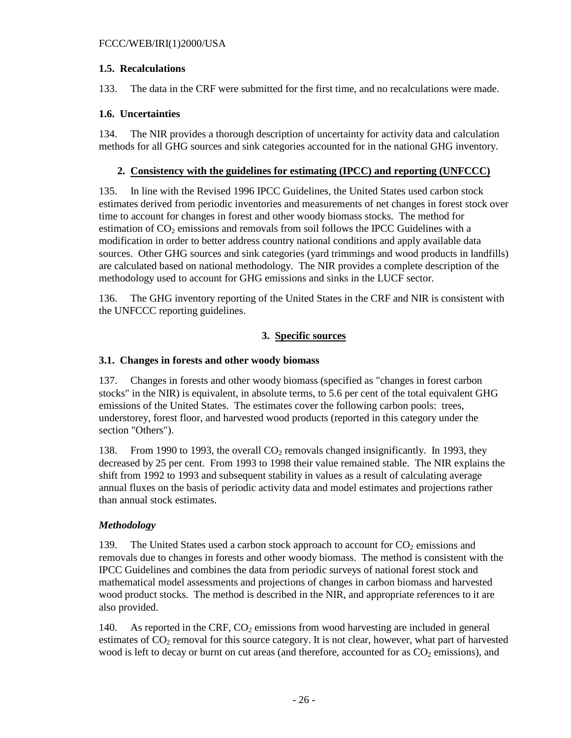### **1.5. Recalculations**

133. The data in the CRF were submitted for the first time, and no recalculations were made.

### **1.6. Uncertainties**

134. The NIR provides a thorough description of uncertainty for activity data and calculation methods for all GHG sources and sink categories accounted for in the national GHG inventory.

## **2. Consistency with the guidelines for estimating (IPCC) and reporting (UNFCCC)**

135. In line with the Revised 1996 IPCC Guidelines, the United States used carbon stock estimates derived from periodic inventories and measurements of net changes in forest stock over time to account for changes in forest and other woody biomass stocks. The method for estimation of  $CO<sub>2</sub>$  emissions and removals from soil follows the IPCC Guidelines with a modification in order to better address country national conditions and apply available data sources. Other GHG sources and sink categories (yard trimmings and wood products in landfills) are calculated based on national methodology. The NIR provides a complete description of the methodology used to account for GHG emissions and sinks in the LUCF sector.

136. The GHG inventory reporting of the United States in the CRF and NIR is consistent with the UNFCCC reporting guidelines.

# **3. Specific sources**

## **3.1. Changes in forests and other woody biomass**

137. Changes in forests and other woody biomass (specified as "changes in forest carbon stocks" in the NIR) is equivalent, in absolute terms, to 5.6 per cent of the total equivalent GHG emissions of the United States. The estimates cover the following carbon pools: trees, understorey, forest floor, and harvested wood products (reported in this category under the section "Others").

138. From 1990 to 1993, the overall  $CO<sub>2</sub>$  removals changed insignificantly. In 1993, they decreased by 25 per cent. From 1993 to 1998 their value remained stable. The NIR explains the shift from 1992 to 1993 and subsequent stability in values as a result of calculating average annual fluxes on the basis of periodic activity data and model estimates and projections rather than annual stock estimates.

## *Methodology*

139. The United States used a carbon stock approach to account for  $CO<sub>2</sub>$  emissions and removals due to changes in forests and other woody biomass. The method is consistent with the IPCC Guidelines and combines the data from periodic surveys of national forest stock and mathematical model assessments and projections of changes in carbon biomass and harvested wood product stocks. The method is described in the NIR, and appropriate references to it are also provided.

140. As reported in the CRF,  $CO<sub>2</sub>$  emissions from wood harvesting are included in general estimates of  $CO<sub>2</sub>$  removal for this source category. It is not clear, however, what part of harvested wood is left to decay or burnt on cut areas (and therefore, accounted for as  $CO<sub>2</sub>$  emissions), and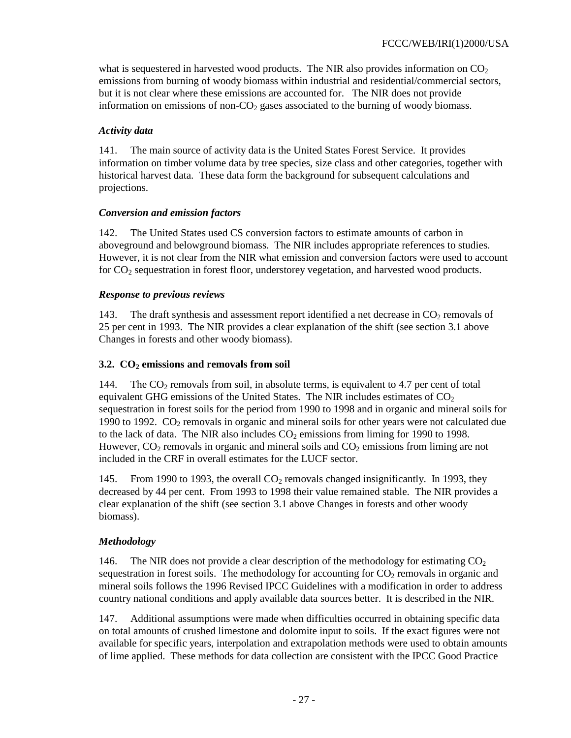what is sequestered in harvested wood products. The NIR also provides information on  $CO<sub>2</sub>$ emissions from burning of woody biomass within industrial and residential/commercial sectors, but it is not clear where these emissions are accounted for. The NIR does not provide information on emissions of non- $CO<sub>2</sub>$  gases associated to the burning of woody biomass.

# *Activity data*

141. The main source of activity data is the United States Forest Service. It provides information on timber volume data by tree species, size class and other categories, together with historical harvest data. These data form the background for subsequent calculations and projections.

# *Conversion and emission factors*

142. The United States used CS conversion factors to estimate amounts of carbon in aboveground and belowground biomass. The NIR includes appropriate references to studies. However, it is not clear from the NIR what emission and conversion factors were used to account for CO<sub>2</sub> sequestration in forest floor, understorey vegetation, and harvested wood products.

## *Response to previous reviews*

143. The draft synthesis and assessment report identified a net decrease in  $CO<sub>2</sub>$  removals of 25 per cent in 1993. The NIR provides a clear explanation of the shift (see section 3.1 above Changes in forests and other woody biomass).

# 3.2. CO<sub>2</sub> emissions and removals from soil

144. The  $CO<sub>2</sub>$  removals from soil, in absolute terms, is equivalent to 4.7 per cent of total equivalent GHG emissions of the United States. The NIR includes estimates of  $CO<sub>2</sub>$ sequestration in forest soils for the period from 1990 to 1998 and in organic and mineral soils for 1990 to 1992.  $CO<sub>2</sub>$  removals in organic and mineral soils for other years were not calculated due to the lack of data. The NIR also includes  $CO<sub>2</sub>$  emissions from liming for 1990 to 1998. However,  $CO<sub>2</sub>$  removals in organic and mineral soils and  $CO<sub>2</sub>$  emissions from liming are not included in the CRF in overall estimates for the LUCF sector.

145. From 1990 to 1993, the overall  $CO<sub>2</sub>$  removals changed insignificantly. In 1993, they decreased by 44 per cent. From 1993 to 1998 their value remained stable. The NIR provides a clear explanation of the shift (see section 3.1 above Changes in forests and other woody biomass).

# *Methodology*

146. The NIR does not provide a clear description of the methodology for estimating  $CO<sub>2</sub>$ sequestration in forest soils. The methodology for accounting for  $CO<sub>2</sub>$  removals in organic and mineral soils follows the 1996 Revised IPCC Guidelines with a modification in order to address country national conditions and apply available data sources better. It is described in the NIR.

147. Additional assumptions were made when difficulties occurred in obtaining specific data on total amounts of crushed limestone and dolomite input to soils. If the exact figures were not available for specific years, interpolation and extrapolation methods were used to obtain amounts of lime applied. These methods for data collection are consistent with the IPCC Good Practice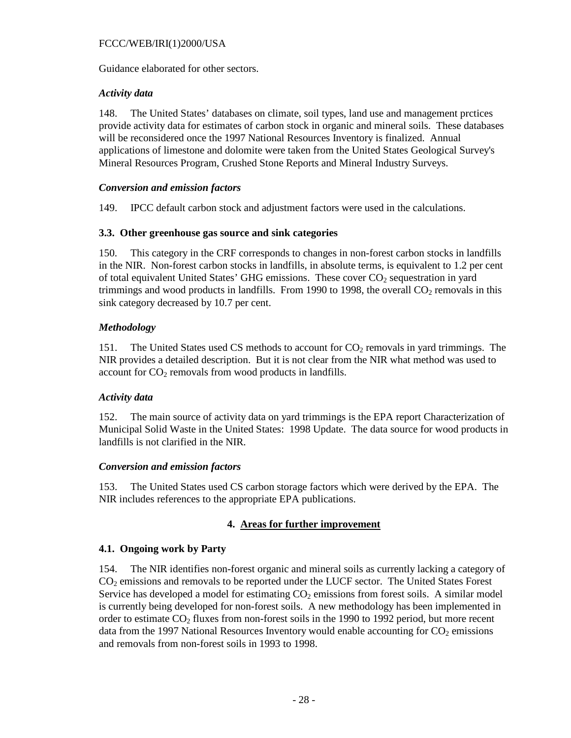Guidance elaborated for other sectors.

### *Activity data*

148. The United States' databases on climate, soil types, land use and management prctices provide activity data for estimates of carbon stock in organic and mineral soils. These databases will be reconsidered once the 1997 National Resources Inventory is finalized. Annual applications of limestone and dolomite were taken from the United States Geological Survey's Mineral Resources Program, Crushed Stone Reports and Mineral Industry Surveys.

### *Conversion and emission factors*

149. IPCC default carbon stock and adjustment factors were used in the calculations.

### **3.3. Other greenhouse gas source and sink categories**

150. This category in the CRF corresponds to changes in non-forest carbon stocks in landfills in the NIR. Non-forest carbon stocks in landfills, in absolute terms, is equivalent to 1.2 per cent of total equivalent United States' GHG emissions. These cover  $CO<sub>2</sub>$  sequestration in yard trimmings and wood products in landfills. From 1990 to 1998, the overall  $CO<sub>2</sub>$  removals in this sink category decreased by 10.7 per cent.

## *Methodology*

151. The United States used CS methods to account for CO<sub>2</sub> removals in yard trimmings. The NIR provides a detailed description. But it is not clear from the NIR what method was used to account for  $CO<sub>2</sub>$  removals from wood products in landfills.

## *Activity data*

152. The main source of activity data on yard trimmings is the EPA report Characterization of Municipal Solid Waste in the United States: 1998 Update. The data source for wood products in landfills is not clarified in the NIR.

## *Conversion and emission factors*

153. The United States used CS carbon storage factors which were derived by the EPA. The NIR includes references to the appropriate EPA publications.

## **4. Areas for further improvement**

## **4.1. Ongoing work by Party**

154. The NIR identifies non-forest organic and mineral soils as currently lacking a category of CO2 emissions and removals to be reported under the LUCF sector. The United States Forest Service has developed a model for estimating  $CO<sub>2</sub>$  emissions from forest soils. A similar model is currently being developed for non-forest soils. A new methodology has been implemented in order to estimate  $CO<sub>2</sub>$  fluxes from non-forest soils in the 1990 to 1992 period, but more recent data from the 1997 National Resources Inventory would enable accounting for  $CO<sub>2</sub>$  emissions and removals from non-forest soils in 1993 to 1998.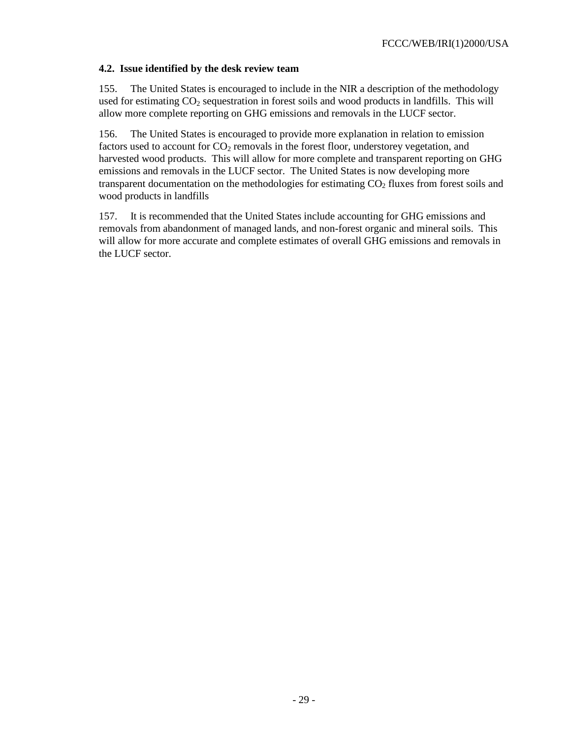### **4.2. Issue identified by the desk review team**

155. The United States is encouraged to include in the NIR a description of the methodology used for estimating CO<sub>2</sub> sequestration in forest soils and wood products in landfills. This will allow more complete reporting on GHG emissions and removals in the LUCF sector.

156. The United States is encouraged to provide more explanation in relation to emission factors used to account for  $CO_2$  removals in the forest floor, understorey vegetation, and harvested wood products. This will allow for more complete and transparent reporting on GHG emissions and removals in the LUCF sector. The United States is now developing more transparent documentation on the methodologies for estimating CO<sub>2</sub> fluxes from forest soils and wood products in landfills

157. It is recommended that the United States include accounting for GHG emissions and removals from abandonment of managed lands, and non-forest organic and mineral soils. This will allow for more accurate and complete estimates of overall GHG emissions and removals in the LUCF sector.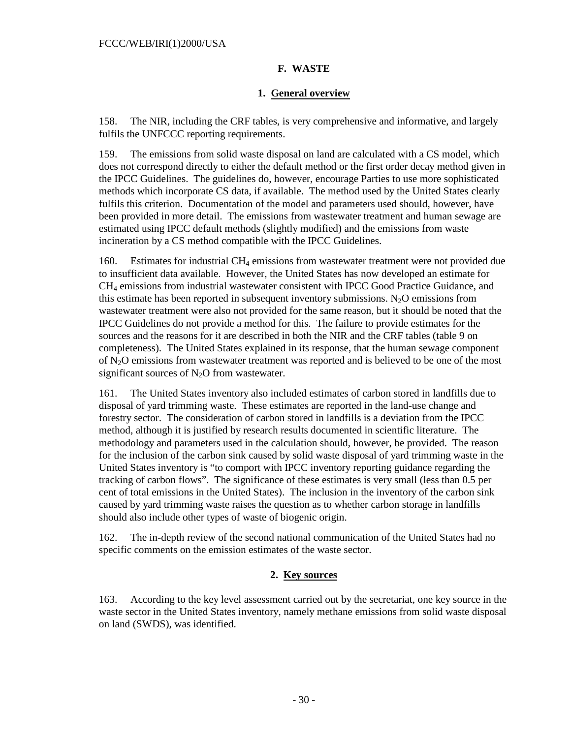## **F. WASTE**

## **1. General overview**

158. The NIR, including the CRF tables, is very comprehensive and informative, and largely fulfils the UNFCCC reporting requirements.

159. The emissions from solid waste disposal on land are calculated with a CS model, which does not correspond directly to either the default method or the first order decay method given in the IPCC Guidelines. The guidelines do, however, encourage Parties to use more sophisticated methods which incorporate CS data, if available. The method used by the United States clearly fulfils this criterion. Documentation of the model and parameters used should, however, have been provided in more detail. The emissions from wastewater treatment and human sewage are estimated using IPCC default methods (slightly modified) and the emissions from waste incineration by a CS method compatible with the IPCC Guidelines.

160. Estimates for industrial CH<sub>4</sub> emissions from wastewater treatment were not provided due to insufficient data available. However, the United States has now developed an estimate for CH4 emissions from industrial wastewater consistent with IPCC Good Practice Guidance, and this estimate has been reported in subsequent inventory submissions.  $N<sub>2</sub>O$  emissions from wastewater treatment were also not provided for the same reason, but it should be noted that the IPCC Guidelines do not provide a method for this. The failure to provide estimates for the sources and the reasons for it are described in both the NIR and the CRF tables (table 9 on completeness). The United States explained in its response, that the human sewage component of N2O emissions from wastewater treatment was reported and is believed to be one of the most significant sources of  $N_2O$  from wastewater.

161. The United States inventory also included estimates of carbon stored in landfills due to disposal of yard trimming waste. These estimates are reported in the land-use change and forestry sector. The consideration of carbon stored in landfills is a deviation from the IPCC method, although it is justified by research results documented in scientific literature. The methodology and parameters used in the calculation should, however, be provided. The reason for the inclusion of the carbon sink caused by solid waste disposal of yard trimming waste in the United States inventory is "to comport with IPCC inventory reporting guidance regarding the tracking of carbon flows". The significance of these estimates is very small (less than 0.5 per cent of total emissions in the United States). The inclusion in the inventory of the carbon sink caused by yard trimming waste raises the question as to whether carbon storage in landfills should also include other types of waste of biogenic origin.

162. The in-depth review of the second national communication of the United States had no specific comments on the emission estimates of the waste sector.

# **2. Key sources**

163. According to the key level assessment carried out by the secretariat, one key source in the waste sector in the United States inventory, namely methane emissions from solid waste disposal on land (SWDS), was identified.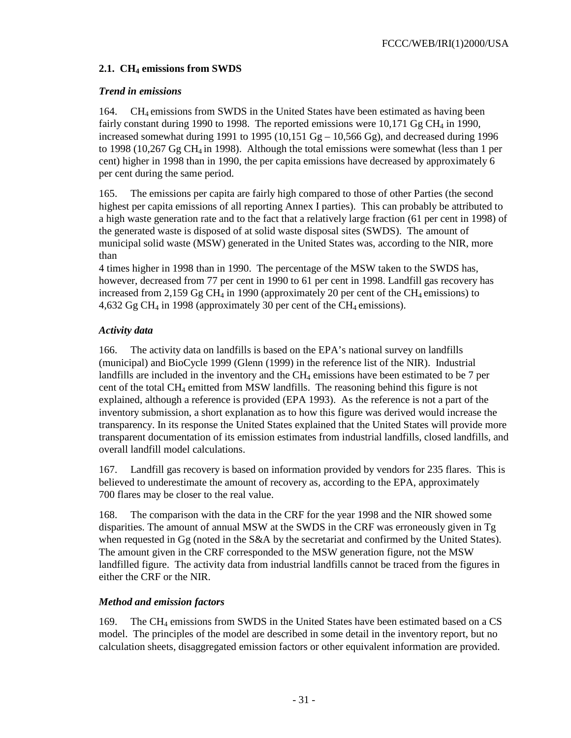# 2.1. CH<sub>4</sub> emissions from SWDS

# *Trend in emissions*

164. CH4 emissions from SWDS in the United States have been estimated as having been fairly constant during 1990 to 1998. The reported emissions were  $10,171$  Gg CH<sub>4</sub> in 1990, increased somewhat during 1991 to 1995 (10,151  $Gg - 10,566 Gg$ ), and decreased during 1996 to 1998 (10,267 Gg CH4 in 1998). Although the total emissions were somewhat (less than 1 per cent) higher in 1998 than in 1990, the per capita emissions have decreased by approximately 6 per cent during the same period.

165. The emissions per capita are fairly high compared to those of other Parties (the second highest per capita emissions of all reporting Annex I parties). This can probably be attributed to a high waste generation rate and to the fact that a relatively large fraction (61 per cent in 1998) of the generated waste is disposed of at solid waste disposal sites (SWDS). The amount of municipal solid waste (MSW) generated in the United States was, according to the NIR, more than

4 times higher in 1998 than in 1990. The percentage of the MSW taken to the SWDS has, however, decreased from 77 per cent in 1990 to 61 per cent in 1998. Landfill gas recovery has increased from 2,159 Gg CH<sub>4</sub> in 1990 (approximately 20 per cent of the CH<sub>4</sub> emissions) to  $4,632$  Gg CH<sub>4</sub> in 1998 (approximately 30 per cent of the CH<sub>4</sub> emissions).

# *Activity data*

166. The activity data on landfills is based on the EPA's national survey on landfills (municipal) and BioCycle 1999 (Glenn (1999) in the reference list of the NIR). Industrial landfills are included in the inventory and the  $CH<sub>4</sub>$  emissions have been estimated to be 7 per cent of the total CH4 emitted from MSW landfills. The reasoning behind this figure is not explained, although a reference is provided (EPA 1993). As the reference is not a part of the inventory submission, a short explanation as to how this figure was derived would increase the transparency. In its response the United States explained that the United States will provide more transparent documentation of its emission estimates from industrial landfills, closed landfills, and overall landfill model calculations.

167. Landfill gas recovery is based on information provided by vendors for 235 flares. This is believed to underestimate the amount of recovery as, according to the EPA, approximately 700 flares may be closer to the real value.

168. The comparison with the data in the CRF for the year 1998 and the NIR showed some disparities. The amount of annual MSW at the SWDS in the CRF was erroneously given in Tg when requested in Gg (noted in the S&A by the secretariat and confirmed by the United States). The amount given in the CRF corresponded to the MSW generation figure, not the MSW landfilled figure. The activity data from industrial landfills cannot be traced from the figures in either the CRF or the NIR.

# *Method and emission factors*

169. The CH4 emissions from SWDS in the United States have been estimated based on a CS model. The principles of the model are described in some detail in the inventory report, but no calculation sheets, disaggregated emission factors or other equivalent information are provided.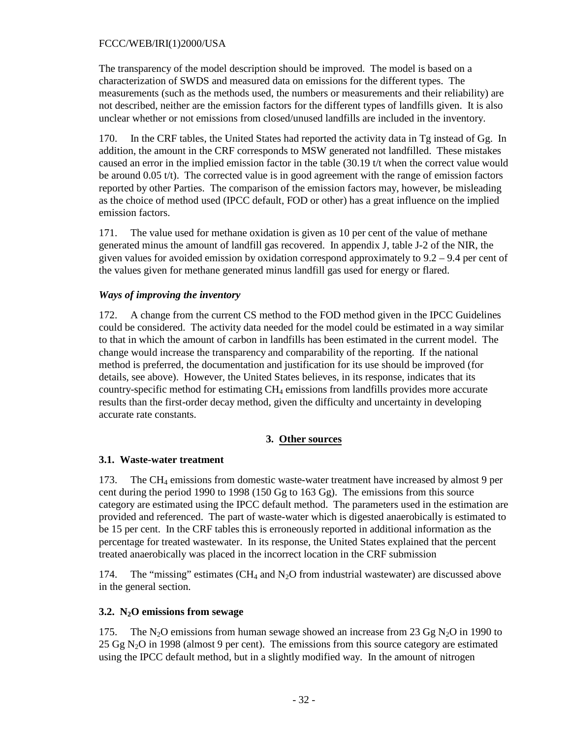The transparency of the model description should be improved. The model is based on a characterization of SWDS and measured data on emissions for the different types. The measurements (such as the methods used, the numbers or measurements and their reliability) are not described, neither are the emission factors for the different types of landfills given. It is also unclear whether or not emissions from closed/unused landfills are included in the inventory.

170. In the CRF tables, the United States had reported the activity data in Tg instead of Gg. In addition, the amount in the CRF corresponds to MSW generated not landfilled. These mistakes caused an error in the implied emission factor in the table (30.19 t/t when the correct value would be around  $0.05 t/t$ ). The corrected value is in good agreement with the range of emission factors reported by other Parties. The comparison of the emission factors may, however, be misleading as the choice of method used (IPCC default, FOD or other) has a great influence on the implied emission factors.

171. The value used for methane oxidation is given as 10 per cent of the value of methane generated minus the amount of landfill gas recovered. In appendix J, table J-2 of the NIR, the given values for avoided emission by oxidation correspond approximately to 9.2 – 9.4 per cent of the values given for methane generated minus landfill gas used for energy or flared.

### *Ways of improving the inventory*

172. A change from the current CS method to the FOD method given in the IPCC Guidelines could be considered. The activity data needed for the model could be estimated in a way similar to that in which the amount of carbon in landfills has been estimated in the current model. The change would increase the transparency and comparability of the reporting. If the national method is preferred, the documentation and justification for its use should be improved (for details, see above). However, the United States believes, in its response, indicates that its country-specific method for estimating CH4 emissions from landfills provides more accurate results than the first-order decay method, given the difficulty and uncertainty in developing accurate rate constants.

#### **3. Other sources**

## **3.1. Waste-water treatment**

173. The CH4 emissions from domestic waste-water treatment have increased by almost 9 per cent during the period 1990 to 1998 (150 Gg to 163 Gg). The emissions from this source category are estimated using the IPCC default method. The parameters used in the estimation are provided and referenced. The part of waste-water which is digested anaerobically is estimated to be 15 per cent. In the CRF tables this is erroneously reported in additional information as the percentage for treated wastewater. In its response, the United States explained that the percent treated anaerobically was placed in the incorrect location in the CRF submission

174. The "missing" estimates (CH<sub>4</sub> and N<sub>2</sub>O from industrial wastewater) are discussed above in the general section.

#### **3.2. N2O emissions from sewage**

175. The N<sub>2</sub>O emissions from human sewage showed an increase from 23 Gg N<sub>2</sub>O in 1990 to  $25 \text{ Gg N}_2\text{O}$  in 1998 (almost 9 per cent). The emissions from this source category are estimated using the IPCC default method, but in a slightly modified way. In the amount of nitrogen